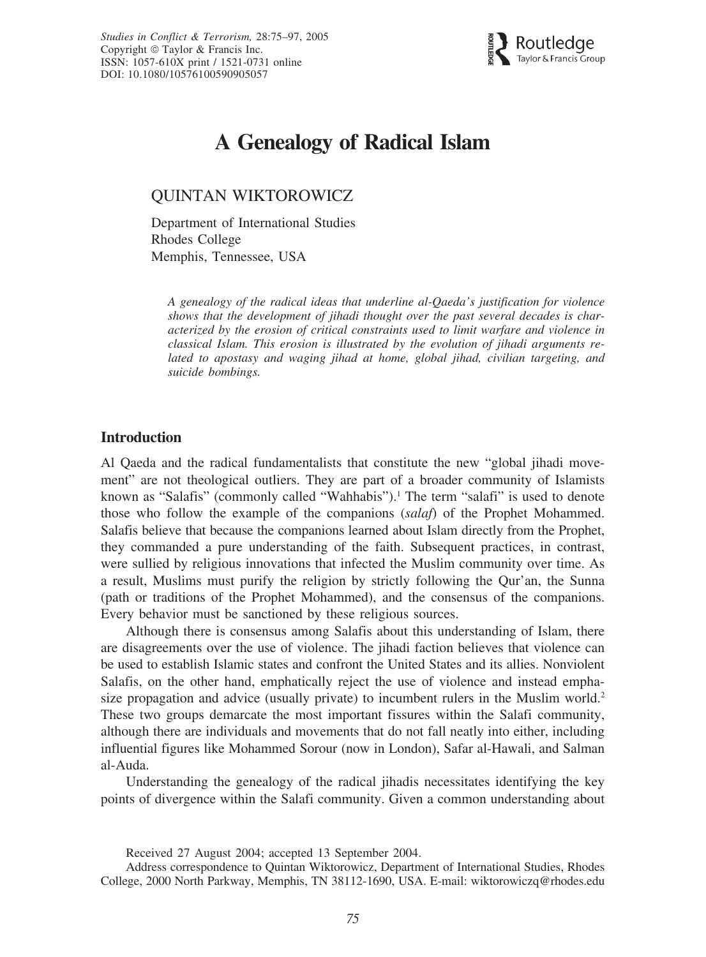*Studies in Conflict & Terrorism,* 28:75–97, 2005 Copyright  $\circ$  Taylor & Francis Inc. ISSN: 1057-610X print / 1521-0731 online DOI: 10.1080/10576100590905057



# **A Genealogy of Radical Islam**

QUINTAN WIKTOROWICZ

Department of International Studies Rhodes College Memphis, Tennessee, USA

*A genealogy of the radical ideas that underline al-Qaeda's justification for violence shows that the development of jihadi thought over the past several decades is characterized by the erosion of critical constraints used to limit warfare and violence in classical Islam. This erosion is illustrated by the evolution of jihadi arguments related to apostasy and waging jihad at home, global jihad, civilian targeting, and suicide bombings.*

## **Introduction**

Al Qaeda and the radical fundamentalists that constitute the new "global jihadi movement" are not theological outliers. They are part of a broader community of Islamists known as "Salafis" (commonly called "Wahhabis").<sup>1</sup> The term "salafi" is used to denote those who follow the example of the companions (*salaf*) of the Prophet Mohammed. Salafis believe that because the companions learned about Islam directly from the Prophet, they commanded a pure understanding of the faith. Subsequent practices, in contrast, were sullied by religious innovations that infected the Muslim community over time. As a result, Muslims must purify the religion by strictly following the Qur'an, the Sunna (path or traditions of the Prophet Mohammed), and the consensus of the companions. Every behavior must be sanctioned by these religious sources.

Although there is consensus among Salafis about this understanding of Islam, there are disagreements over the use of violence. The jihadi faction believes that violence can be used to establish Islamic states and confront the United States and its allies. Nonviolent Salafis, on the other hand, emphatically reject the use of violence and instead emphasize propagation and advice (usually private) to incumbent rulers in the Muslim world. $2$ These two groups demarcate the most important fissures within the Salafi community, although there are individuals and movements that do not fall neatly into either, including influential figures like Mohammed Sorour (now in London), Safar al-Hawali, and Salman al-Auda.

Understanding the genealogy of the radical jihadis necessitates identifying the key points of divergence within the Salafi community. Given a common understanding about

Received 27 August 2004; accepted 13 September 2004.

Address correspondence to Quintan Wiktorowicz, Department of International Studies, Rhodes College, 2000 North Parkway, Memphis, TN 38112-1690, USA. E-mail: wiktorowiczq@rhodes.edu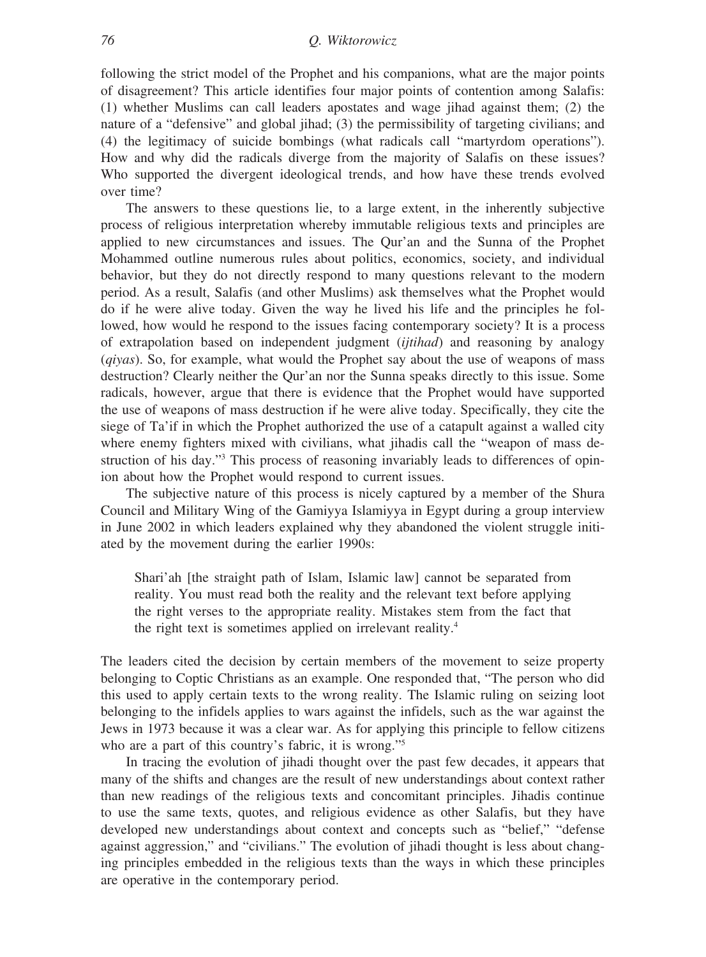following the strict model of the Prophet and his companions, what are the major points of disagreement? This article identifies four major points of contention among Salafis: (1) whether Muslims can call leaders apostates and wage jihad against them; (2) the nature of a "defensive" and global jihad; (3) the permissibility of targeting civilians; and (4) the legitimacy of suicide bombings (what radicals call "martyrdom operations"). How and why did the radicals diverge from the majority of Salafis on these issues? Who supported the divergent ideological trends, and how have these trends evolved over time?

The answers to these questions lie, to a large extent, in the inherently subjective process of religious interpretation whereby immutable religious texts and principles are applied to new circumstances and issues. The Qur'an and the Sunna of the Prophet Mohammed outline numerous rules about politics, economics, society, and individual behavior, but they do not directly respond to many questions relevant to the modern period. As a result, Salafis (and other Muslims) ask themselves what the Prophet would do if he were alive today. Given the way he lived his life and the principles he followed, how would he respond to the issues facing contemporary society? It is a process of extrapolation based on independent judgment (*ijtihad*) and reasoning by analogy (*qiyas*). So, for example, what would the Prophet say about the use of weapons of mass destruction? Clearly neither the Qur'an nor the Sunna speaks directly to this issue. Some radicals, however, argue that there is evidence that the Prophet would have supported the use of weapons of mass destruction if he were alive today. Specifically, they cite the siege of Ta'if in which the Prophet authorized the use of a catapult against a walled city where enemy fighters mixed with civilians, what jihadis call the "weapon of mass destruction of his day."3 This process of reasoning invariably leads to differences of opinion about how the Prophet would respond to current issues.

The subjective nature of this process is nicely captured by a member of the Shura Council and Military Wing of the Gamiyya Islamiyya in Egypt during a group interview in June 2002 in which leaders explained why they abandoned the violent struggle initiated by the movement during the earlier 1990s:

Shari'ah [the straight path of Islam, Islamic law] cannot be separated from reality. You must read both the reality and the relevant text before applying the right verses to the appropriate reality. Mistakes stem from the fact that the right text is sometimes applied on irrelevant reality.4

The leaders cited the decision by certain members of the movement to seize property belonging to Coptic Christians as an example. One responded that, "The person who did this used to apply certain texts to the wrong reality. The Islamic ruling on seizing loot belonging to the infidels applies to wars against the infidels, such as the war against the Jews in 1973 because it was a clear war. As for applying this principle to fellow citizens who are a part of this country's fabric, it is wrong."5

In tracing the evolution of jihadi thought over the past few decades, it appears that many of the shifts and changes are the result of new understandings about context rather than new readings of the religious texts and concomitant principles. Jihadis continue to use the same texts, quotes, and religious evidence as other Salafis, but they have developed new understandings about context and concepts such as "belief," "defense against aggression," and "civilians." The evolution of jihadi thought is less about changing principles embedded in the religious texts than the ways in which these principles are operative in the contemporary period.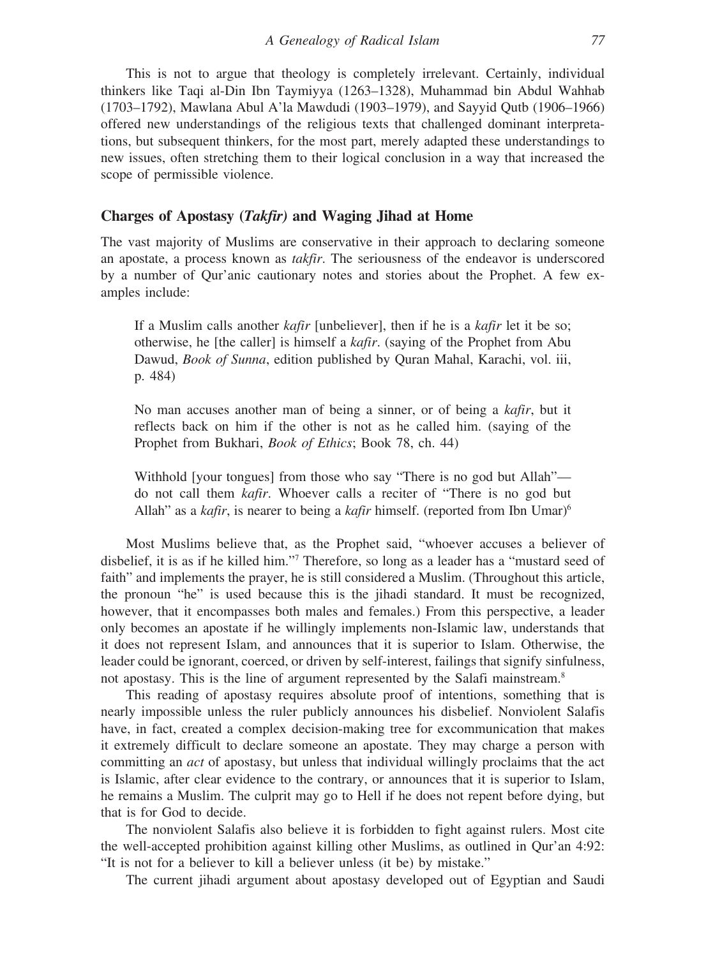This is not to argue that theology is completely irrelevant. Certainly, individual thinkers like Taqi al-Din Ibn Taymiyya (1263–1328), Muhammad bin Abdul Wahhab (1703–1792), Mawlana Abul A'la Mawdudi (1903–1979), and Sayyid Qutb (1906–1966) offered new understandings of the religious texts that challenged dominant interpretations, but subsequent thinkers, for the most part, merely adapted these understandings to new issues, often stretching them to their logical conclusion in a way that increased the scope of permissible violence.

#### **Charges of Apostasy (***Takfir)* **and Waging Jihad at Home**

The vast majority of Muslims are conservative in their approach to declaring someone an apostate, a process known as *takfir*. The seriousness of the endeavor is underscored by a number of Qur'anic cautionary notes and stories about the Prophet. A few examples include:

If a Muslim calls another *kafir* [unbeliever], then if he is a *kafir* let it be so; otherwise, he [the caller] is himself a *kafir*. (saying of the Prophet from Abu Dawud, *Book of Sunna*, edition published by Quran Mahal, Karachi, vol. iii, p. 484)

No man accuses another man of being a sinner, or of being a *kafir*, but it reflects back on him if the other is not as he called him. (saying of the Prophet from Bukhari, *Book of Ethics*; Book 78, ch. 44)

Withhold [your tongues] from those who say "There is no god but Allah" do not call them *kafir*. Whoever calls a reciter of "There is no god but Allah" as a *kafir*, is nearer to being a *kafir* himself. (reported from Ibn Umar)6

Most Muslims believe that, as the Prophet said, "whoever accuses a believer of disbelief, it is as if he killed him."7 Therefore, so long as a leader has a "mustard seed of faith" and implements the prayer, he is still considered a Muslim. (Throughout this article, the pronoun "he" is used because this is the jihadi standard. It must be recognized, however, that it encompasses both males and females.) From this perspective, a leader only becomes an apostate if he willingly implements non-Islamic law, understands that it does not represent Islam, and announces that it is superior to Islam. Otherwise, the leader could be ignorant, coerced, or driven by self-interest, failings that signify sinfulness, not apostasy. This is the line of argument represented by the Salafi mainstream.8

This reading of apostasy requires absolute proof of intentions, something that is nearly impossible unless the ruler publicly announces his disbelief. Nonviolent Salafis have, in fact, created a complex decision-making tree for excommunication that makes it extremely difficult to declare someone an apostate. They may charge a person with committing an *act* of apostasy, but unless that individual willingly proclaims that the act is Islamic, after clear evidence to the contrary, or announces that it is superior to Islam, he remains a Muslim. The culprit may go to Hell if he does not repent before dying, but that is for God to decide.

The nonviolent Salafis also believe it is forbidden to fight against rulers. Most cite the well-accepted prohibition against killing other Muslims, as outlined in Qur'an 4:92: "It is not for a believer to kill a believer unless (it be) by mistake."

The current jihadi argument about apostasy developed out of Egyptian and Saudi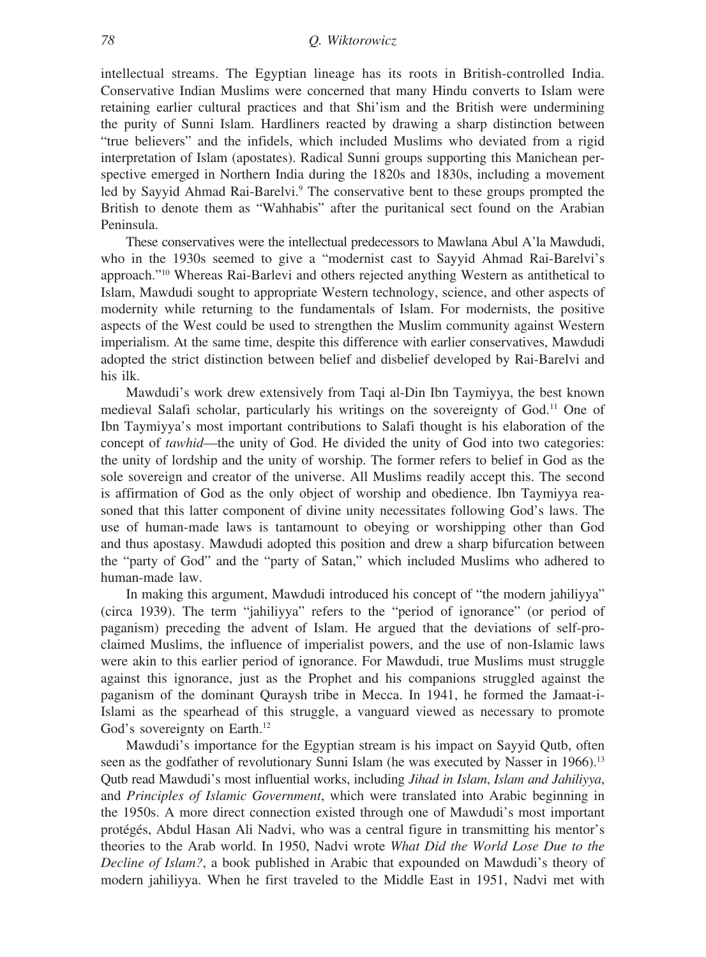intellectual streams. The Egyptian lineage has its roots in British-controlled India. Conservative Indian Muslims were concerned that many Hindu converts to Islam were retaining earlier cultural practices and that Shi'ism and the British were undermining the purity of Sunni Islam. Hardliners reacted by drawing a sharp distinction between "true believers" and the infidels, which included Muslims who deviated from a rigid interpretation of Islam (apostates). Radical Sunni groups supporting this Manichean perspective emerged in Northern India during the 1820s and 1830s, including a movement led by Sayyid Ahmad Rai-Barelvi.<sup>9</sup> The conservative bent to these groups prompted the British to denote them as "Wahhabis" after the puritanical sect found on the Arabian Peninsula.

These conservatives were the intellectual predecessors to Mawlana Abul A'la Mawdudi, who in the 1930s seemed to give a "modernist cast to Sayyid Ahmad Rai-Barelvi's approach."10 Whereas Rai-Barlevi and others rejected anything Western as antithetical to Islam, Mawdudi sought to appropriate Western technology, science, and other aspects of modernity while returning to the fundamentals of Islam. For modernists, the positive aspects of the West could be used to strengthen the Muslim community against Western imperialism. At the same time, despite this difference with earlier conservatives, Mawdudi adopted the strict distinction between belief and disbelief developed by Rai-Barelvi and his ilk.

Mawdudi's work drew extensively from Taqi al-Din Ibn Taymiyya, the best known medieval Salafi scholar, particularly his writings on the sovereignty of God.11 One of Ibn Taymiyya's most important contributions to Salafi thought is his elaboration of the concept of *tawhid*—the unity of God. He divided the unity of God into two categories: the unity of lordship and the unity of worship. The former refers to belief in God as the sole sovereign and creator of the universe. All Muslims readily accept this. The second is affirmation of God as the only object of worship and obedience. Ibn Taymiyya reasoned that this latter component of divine unity necessitates following God's laws. The use of human-made laws is tantamount to obeying or worshipping other than God and thus apostasy. Mawdudi adopted this position and drew a sharp bifurcation between the "party of God" and the "party of Satan," which included Muslims who adhered to human-made law.

In making this argument, Mawdudi introduced his concept of "the modern jahiliyya" (circa 1939). The term "jahiliyya" refers to the "period of ignorance" (or period of paganism) preceding the advent of Islam. He argued that the deviations of self-proclaimed Muslims, the influence of imperialist powers, and the use of non-Islamic laws were akin to this earlier period of ignorance. For Mawdudi, true Muslims must struggle against this ignorance, just as the Prophet and his companions struggled against the paganism of the dominant Quraysh tribe in Mecca. In 1941, he formed the Jamaat-i-Islami as the spearhead of this struggle, a vanguard viewed as necessary to promote God's sovereignty on Earth.<sup>12</sup>

Mawdudi's importance for the Egyptian stream is his impact on Sayyid Qutb, often seen as the godfather of revolutionary Sunni Islam (he was executed by Nasser in 1966).<sup>13</sup> Qutb read Mawdudi's most influential works, including *Jihad in Islam*, *Islam and Jahiliyya*, and *Principles of Islamic Government*, which were translated into Arabic beginning in the 1950s. A more direct connection existed through one of Mawdudi's most important protégés, Abdul Hasan Ali Nadvi, who was a central figure in transmitting his mentor's theories to the Arab world. In 1950, Nadvi wrote *What Did the World Lose Due to the Decline of Islam?*, a book published in Arabic that expounded on Mawdudi's theory of modern jahiliyya. When he first traveled to the Middle East in 1951, Nadvi met with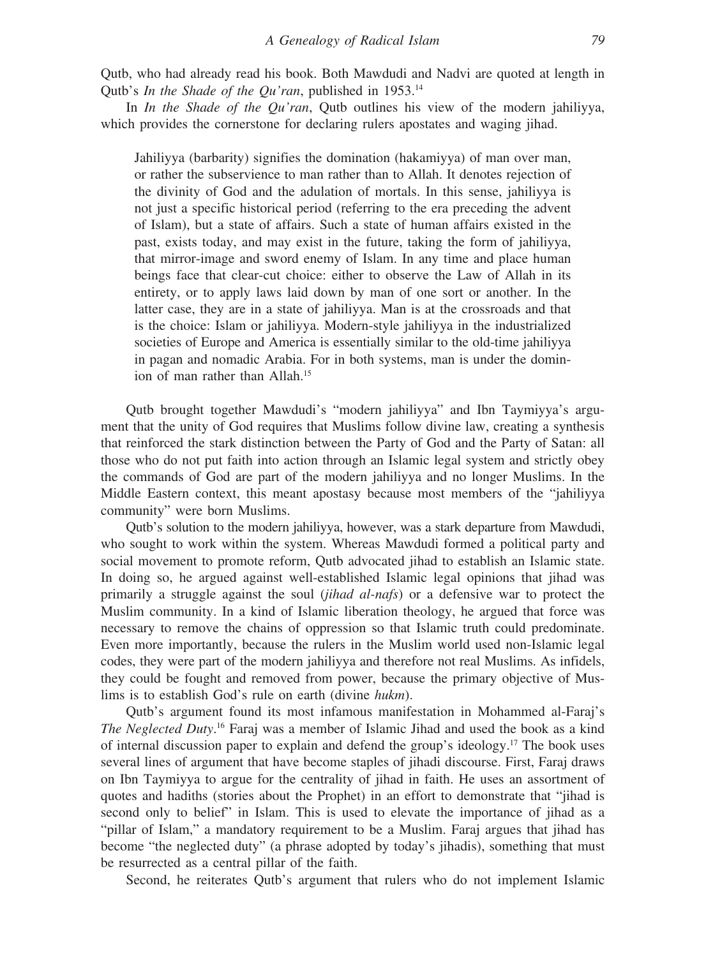Qutb, who had already read his book. Both Mawdudi and Nadvi are quoted at length in Qutb's *In the Shade of the Qu'ran*, published in 1953.14

In *In the Shade of the Qu'ran*, Qutb outlines his view of the modern jahiliyya, which provides the cornerstone for declaring rulers apostates and waging jihad.

Jahiliyya (barbarity) signifies the domination (hakamiyya) of man over man, or rather the subservience to man rather than to Allah. It denotes rejection of the divinity of God and the adulation of mortals. In this sense, jahiliyya is not just a specific historical period (referring to the era preceding the advent of Islam), but a state of affairs. Such a state of human affairs existed in the past, exists today, and may exist in the future, taking the form of jahiliyya, that mirror-image and sword enemy of Islam. In any time and place human beings face that clear-cut choice: either to observe the Law of Allah in its entirety, or to apply laws laid down by man of one sort or another. In the latter case, they are in a state of jahiliyya. Man is at the crossroads and that is the choice: Islam or jahiliyya. Modern-style jahiliyya in the industrialized societies of Europe and America is essentially similar to the old-time jahiliyya in pagan and nomadic Arabia. For in both systems, man is under the dominion of man rather than Allah.15

Qutb brought together Mawdudi's "modern jahiliyya" and Ibn Taymiyya's argument that the unity of God requires that Muslims follow divine law, creating a synthesis that reinforced the stark distinction between the Party of God and the Party of Satan: all those who do not put faith into action through an Islamic legal system and strictly obey the commands of God are part of the modern jahiliyya and no longer Muslims. In the Middle Eastern context, this meant apostasy because most members of the "jahiliyya community" were born Muslims.

Qutb's solution to the modern jahiliyya, however, was a stark departure from Mawdudi, who sought to work within the system. Whereas Mawdudi formed a political party and social movement to promote reform, Qutb advocated jihad to establish an Islamic state. In doing so, he argued against well-established Islamic legal opinions that jihad was primarily a struggle against the soul (*jihad al-nafs*) or a defensive war to protect the Muslim community. In a kind of Islamic liberation theology, he argued that force was necessary to remove the chains of oppression so that Islamic truth could predominate. Even more importantly, because the rulers in the Muslim world used non-Islamic legal codes, they were part of the modern jahiliyya and therefore not real Muslims. As infidels, they could be fought and removed from power, because the primary objective of Muslims is to establish God's rule on earth (divine *hukm*).

Qutb's argument found its most infamous manifestation in Mohammed al-Faraj's *The Neglected Duty*. 16 Faraj was a member of Islamic Jihad and used the book as a kind of internal discussion paper to explain and defend the group's ideology.17 The book uses several lines of argument that have become staples of jihadi discourse. First, Faraj draws on Ibn Taymiyya to argue for the centrality of jihad in faith. He uses an assortment of quotes and hadiths (stories about the Prophet) in an effort to demonstrate that "jihad is second only to belief" in Islam. This is used to elevate the importance of jihad as a "pillar of Islam," a mandatory requirement to be a Muslim. Faraj argues that jihad has become "the neglected duty" (a phrase adopted by today's jihadis), something that must be resurrected as a central pillar of the faith.

Second, he reiterates Qutb's argument that rulers who do not implement Islamic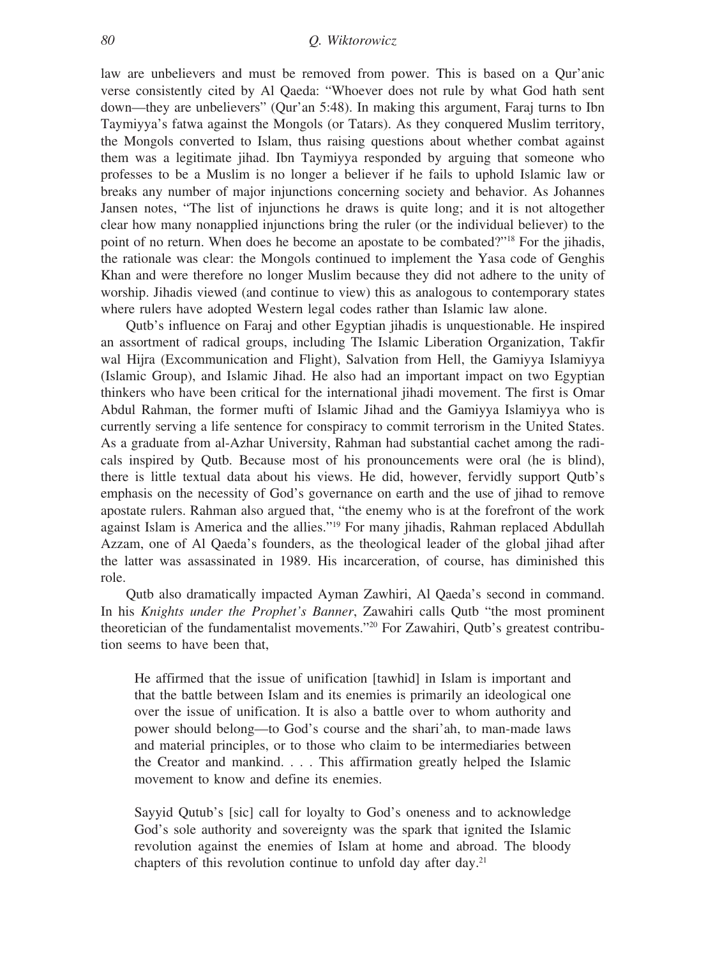law are unbelievers and must be removed from power. This is based on a Qur'anic verse consistently cited by Al Qaeda: "Whoever does not rule by what God hath sent down—they are unbelievers" (Qur'an 5:48). In making this argument, Faraj turns to Ibn Taymiyya's fatwa against the Mongols (or Tatars). As they conquered Muslim territory, the Mongols converted to Islam, thus raising questions about whether combat against them was a legitimate jihad. Ibn Taymiyya responded by arguing that someone who professes to be a Muslim is no longer a believer if he fails to uphold Islamic law or breaks any number of major injunctions concerning society and behavior. As Johannes Jansen notes, "The list of injunctions he draws is quite long; and it is not altogether clear how many nonapplied injunctions bring the ruler (or the individual believer) to the point of no return. When does he become an apostate to be combated?"<sup>18</sup> For the jihadis, the rationale was clear: the Mongols continued to implement the Yasa code of Genghis Khan and were therefore no longer Muslim because they did not adhere to the unity of worship. Jihadis viewed (and continue to view) this as analogous to contemporary states where rulers have adopted Western legal codes rather than Islamic law alone.

Qutb's influence on Faraj and other Egyptian jihadis is unquestionable. He inspired an assortment of radical groups, including The Islamic Liberation Organization, Takfir wal Hijra (Excommunication and Flight), Salvation from Hell, the Gamiyya Islamiyya (Islamic Group), and Islamic Jihad. He also had an important impact on two Egyptian thinkers who have been critical for the international jihadi movement. The first is Omar Abdul Rahman, the former mufti of Islamic Jihad and the Gamiyya Islamiyya who is currently serving a life sentence for conspiracy to commit terrorism in the United States. As a graduate from al-Azhar University, Rahman had substantial cachet among the radicals inspired by Qutb. Because most of his pronouncements were oral (he is blind), there is little textual data about his views. He did, however, fervidly support Qutb's emphasis on the necessity of God's governance on earth and the use of jihad to remove apostate rulers. Rahman also argued that, "the enemy who is at the forefront of the work against Islam is America and the allies."<sup>19</sup> For many jihadis, Rahman replaced Abdullah Azzam, one of Al Qaeda's founders, as the theological leader of the global jihad after the latter was assassinated in 1989. His incarceration, of course, has diminished this role.

Qutb also dramatically impacted Ayman Zawhiri, Al Qaeda's second in command. In his *Knights under the Prophet's Banner*, Zawahiri calls Qutb "the most prominent theoretician of the fundamentalist movements."20 For Zawahiri, Qutb's greatest contribution seems to have been that,

He affirmed that the issue of unification [tawhid] in Islam is important and that the battle between Islam and its enemies is primarily an ideological one over the issue of unification. It is also a battle over to whom authority and power should belong—to God's course and the shari'ah, to man-made laws and material principles, or to those who claim to be intermediaries between the Creator and mankind. . . . This affirmation greatly helped the Islamic movement to know and define its enemies.

Sayyid Qutub's [sic] call for loyalty to God's oneness and to acknowledge God's sole authority and sovereignty was the spark that ignited the Islamic revolution against the enemies of Islam at home and abroad. The bloody chapters of this revolution continue to unfold day after day.<sup>21</sup>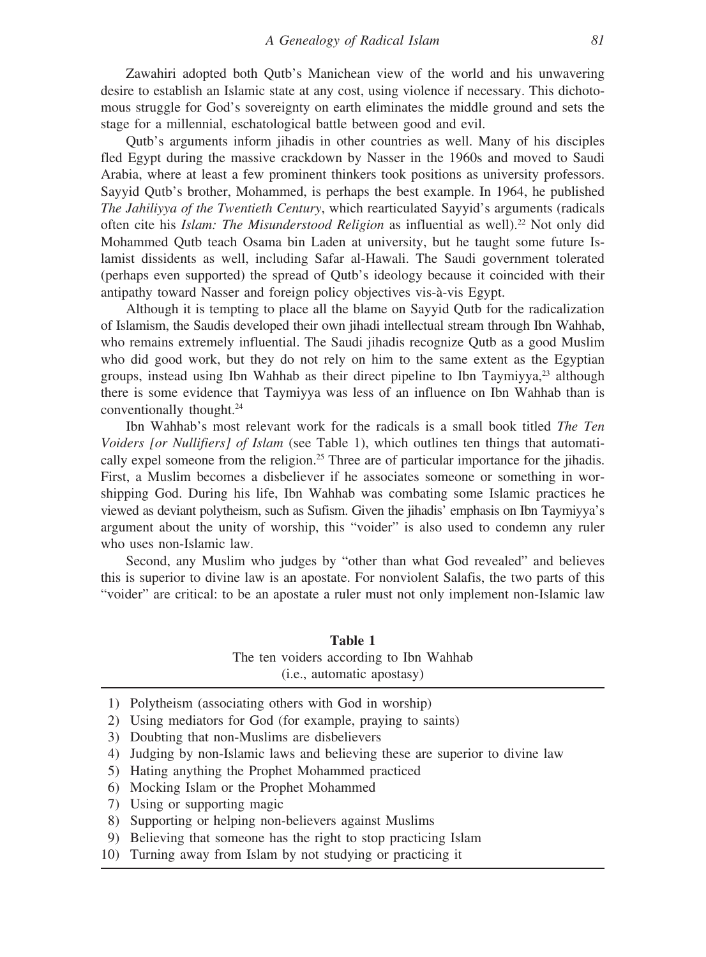Zawahiri adopted both Qutb's Manichean view of the world and his unwavering desire to establish an Islamic state at any cost, using violence if necessary. This dichotomous struggle for God's sovereignty on earth eliminates the middle ground and sets the stage for a millennial, eschatological battle between good and evil.

Qutb's arguments inform jihadis in other countries as well. Many of his disciples fled Egypt during the massive crackdown by Nasser in the 1960s and moved to Saudi Arabia, where at least a few prominent thinkers took positions as university professors. Sayyid Qutb's brother, Mohammed, is perhaps the best example. In 1964, he published *The Jahiliyya of the Twentieth Century*, which rearticulated Sayyid's arguments (radicals often cite his *Islam: The Misunderstood Religion* as influential as well).<sup>22</sup> Not only did Mohammed Qutb teach Osama bin Laden at university, but he taught some future Islamist dissidents as well, including Safar al-Hawali. The Saudi government tolerated (perhaps even supported) the spread of Qutb's ideology because it coincided with their antipathy toward Nasser and foreign policy objectives vis-à-vis Egypt.

Although it is tempting to place all the blame on Sayyid Qutb for the radicalization of Islamism, the Saudis developed their own jihadi intellectual stream through Ibn Wahhab, who remains extremely influential. The Saudi jihadis recognize Qutb as a good Muslim who did good work, but they do not rely on him to the same extent as the Egyptian groups, instead using Ibn Wahhab as their direct pipeline to Ibn Taymiyya, $^{23}$  although there is some evidence that Taymiyya was less of an influence on Ibn Wahhab than is conventionally thought.<sup>24</sup>

Ibn Wahhab's most relevant work for the radicals is a small book titled *The Ten Voiders [or Nullifiers] of Islam* (see Table 1), which outlines ten things that automatically expel someone from the religion.<sup>25</sup> Three are of particular importance for the jihadis. First, a Muslim becomes a disbeliever if he associates someone or something in worshipping God. During his life, Ibn Wahhab was combating some Islamic practices he viewed as deviant polytheism, such as Sufism. Given the jihadis' emphasis on Ibn Taymiyya's argument about the unity of worship, this "voider" is also used to condemn any ruler who uses non-Islamic law.

Second, any Muslim who judges by "other than what God revealed" and believes this is superior to divine law is an apostate. For nonviolent Salafis, the two parts of this "voider" are critical: to be an apostate a ruler must not only implement non-Islamic law

# **Table 1** The ten voiders according to Ibn Wahhab (i.e., automatic apostasy)

- 1) Polytheism (associating others with God in worship)
- 2) Using mediators for God (for example, praying to saints)
- 3) Doubting that non-Muslims are disbelievers
- 4) Judging by non-Islamic laws and believing these are superior to divine law
- 5) Hating anything the Prophet Mohammed practiced
- 6) Mocking Islam or the Prophet Mohammed
- 7) Using or supporting magic
- 8) Supporting or helping non-believers against Muslims
- 9) Believing that someone has the right to stop practicing Islam
- 10) Turning away from Islam by not studying or practicing it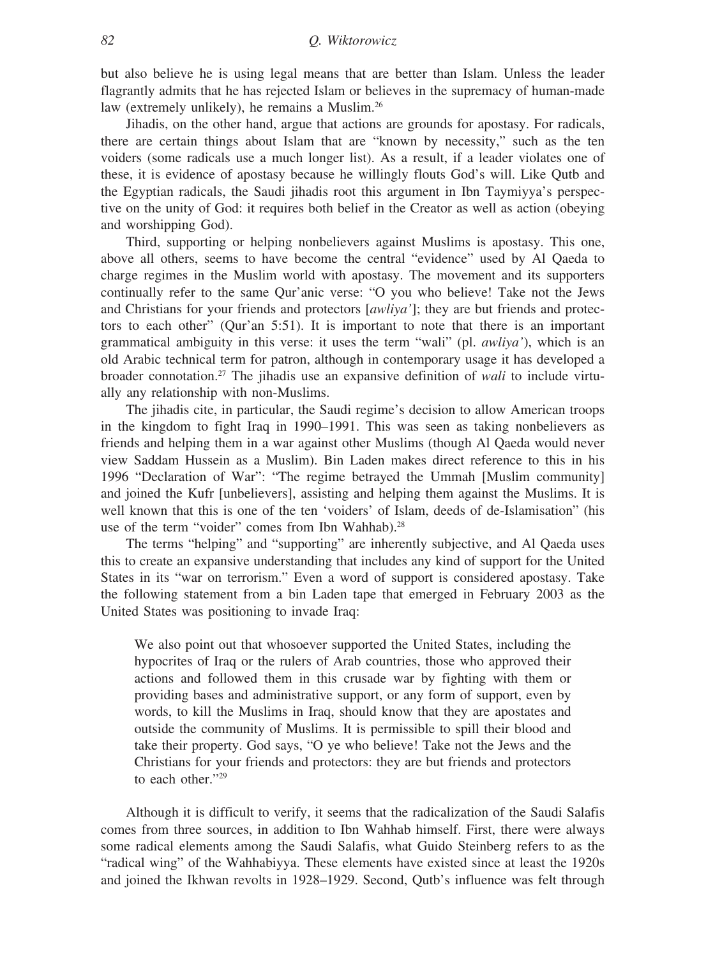but also believe he is using legal means that are better than Islam. Unless the leader flagrantly admits that he has rejected Islam or believes in the supremacy of human-made law (extremely unlikely), he remains a Muslim.26

Jihadis, on the other hand, argue that actions are grounds for apostasy. For radicals, there are certain things about Islam that are "known by necessity," such as the ten voiders (some radicals use a much longer list). As a result, if a leader violates one of these, it is evidence of apostasy because he willingly flouts God's will. Like Qutb and the Egyptian radicals, the Saudi jihadis root this argument in Ibn Taymiyya's perspective on the unity of God: it requires both belief in the Creator as well as action (obeying and worshipping God).

Third, supporting or helping nonbelievers against Muslims is apostasy. This one, above all others, seems to have become the central "evidence" used by Al Qaeda to charge regimes in the Muslim world with apostasy. The movement and its supporters continually refer to the same Qur'anic verse: "O you who believe! Take not the Jews and Christians for your friends and protectors [*awliya'*]; they are but friends and protectors to each other" (Qur'an 5:51). It is important to note that there is an important grammatical ambiguity in this verse: it uses the term "wali" (pl. *awliya'*), which is an old Arabic technical term for patron, although in contemporary usage it has developed a broader connotation.27 The jihadis use an expansive definition of *wali* to include virtually any relationship with non-Muslims.

The jihadis cite, in particular, the Saudi regime's decision to allow American troops in the kingdom to fight Iraq in 1990–1991. This was seen as taking nonbelievers as friends and helping them in a war against other Muslims (though Al Qaeda would never view Saddam Hussein as a Muslim). Bin Laden makes direct reference to this in his 1996 "Declaration of War": "The regime betrayed the Ummah [Muslim community] and joined the Kufr [unbelievers], assisting and helping them against the Muslims. It is well known that this is one of the ten 'voiders' of Islam, deeds of de-Islamisation" (his use of the term "voider" comes from Ibn Wahhab).<sup>28</sup>

The terms "helping" and "supporting" are inherently subjective, and Al Qaeda uses this to create an expansive understanding that includes any kind of support for the United States in its "war on terrorism." Even a word of support is considered apostasy. Take the following statement from a bin Laden tape that emerged in February 2003 as the United States was positioning to invade Iraq:

We also point out that whosoever supported the United States, including the hypocrites of Iraq or the rulers of Arab countries, those who approved their actions and followed them in this crusade war by fighting with them or providing bases and administrative support, or any form of support, even by words, to kill the Muslims in Iraq, should know that they are apostates and outside the community of Muslims. It is permissible to spill their blood and take their property. God says, "O ye who believe! Take not the Jews and the Christians for your friends and protectors: they are but friends and protectors to each other."29

Although it is difficult to verify, it seems that the radicalization of the Saudi Salafis comes from three sources, in addition to Ibn Wahhab himself. First, there were always some radical elements among the Saudi Salafis, what Guido Steinberg refers to as the "radical wing" of the Wahhabiyya. These elements have existed since at least the 1920s and joined the Ikhwan revolts in 1928–1929. Second, Qutb's influence was felt through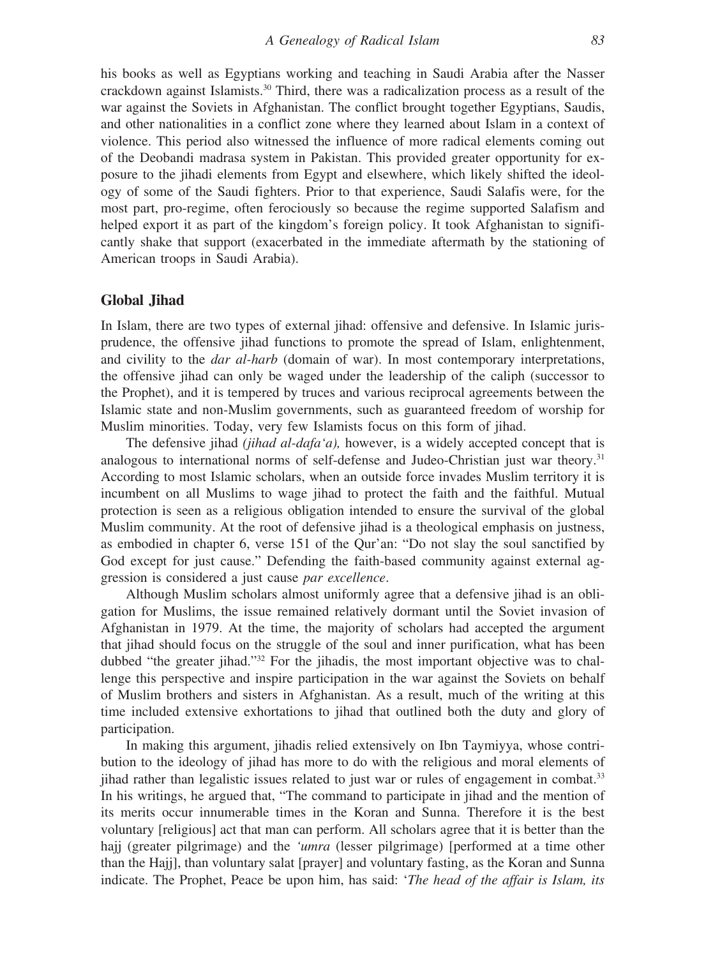his books as well as Egyptians working and teaching in Saudi Arabia after the Nasser crackdown against Islamists. $30$  Third, there was a radicalization process as a result of the war against the Soviets in Afghanistan. The conflict brought together Egyptians, Saudis, and other nationalities in a conflict zone where they learned about Islam in a context of violence. This period also witnessed the influence of more radical elements coming out of the Deobandi madrasa system in Pakistan. This provided greater opportunity for exposure to the jihadi elements from Egypt and elsewhere, which likely shifted the ideology of some of the Saudi fighters. Prior to that experience, Saudi Salafis were, for the most part, pro-regime, often ferociously so because the regime supported Salafism and helped export it as part of the kingdom's foreign policy. It took Afghanistan to significantly shake that support (exacerbated in the immediate aftermath by the stationing of American troops in Saudi Arabia).

### **Global Jihad**

In Islam, there are two types of external jihad: offensive and defensive. In Islamic jurisprudence, the offensive jihad functions to promote the spread of Islam, enlightenment, and civility to the *dar al-harb* (domain of war). In most contemporary interpretations, the offensive jihad can only be waged under the leadership of the caliph (successor to the Prophet), and it is tempered by truces and various reciprocal agreements between the Islamic state and non-Muslim governments, such as guaranteed freedom of worship for Muslim minorities. Today, very few Islamists focus on this form of jihad.

The defensive jihad *(jihad al-dafa'a),* however, is a widely accepted concept that is analogous to international norms of self-defense and Judeo-Christian just war theory.<sup>31</sup> According to most Islamic scholars, when an outside force invades Muslim territory it is incumbent on all Muslims to wage jihad to protect the faith and the faithful. Mutual protection is seen as a religious obligation intended to ensure the survival of the global Muslim community. At the root of defensive jihad is a theological emphasis on justness, as embodied in chapter 6, verse 151 of the Qur'an: "Do not slay the soul sanctified by God except for just cause." Defending the faith-based community against external aggression is considered a just cause *par excellence*.

Although Muslim scholars almost uniformly agree that a defensive jihad is an obligation for Muslims, the issue remained relatively dormant until the Soviet invasion of Afghanistan in 1979. At the time, the majority of scholars had accepted the argument that jihad should focus on the struggle of the soul and inner purification, what has been dubbed "the greater jihad."<sup>32</sup> For the jihadis, the most important objective was to challenge this perspective and inspire participation in the war against the Soviets on behalf of Muslim brothers and sisters in Afghanistan. As a result, much of the writing at this time included extensive exhortations to jihad that outlined both the duty and glory of participation.

In making this argument, jihadis relied extensively on Ibn Taymiyya, whose contribution to the ideology of jihad has more to do with the religious and moral elements of jihad rather than legalistic issues related to just war or rules of engagement in combat.33 In his writings, he argued that, "The command to participate in jihad and the mention of its merits occur innumerable times in the Koran and Sunna. Therefore it is the best voluntary [religious] act that man can perform. All scholars agree that it is better than the hajj (greater pilgrimage) and the *'umra* (lesser pilgrimage) [performed at a time other than the Hajj], than voluntary salat [prayer] and voluntary fasting, as the Koran and Sunna indicate. The Prophet, Peace be upon him, has said: '*The head of the affair is Islam, its*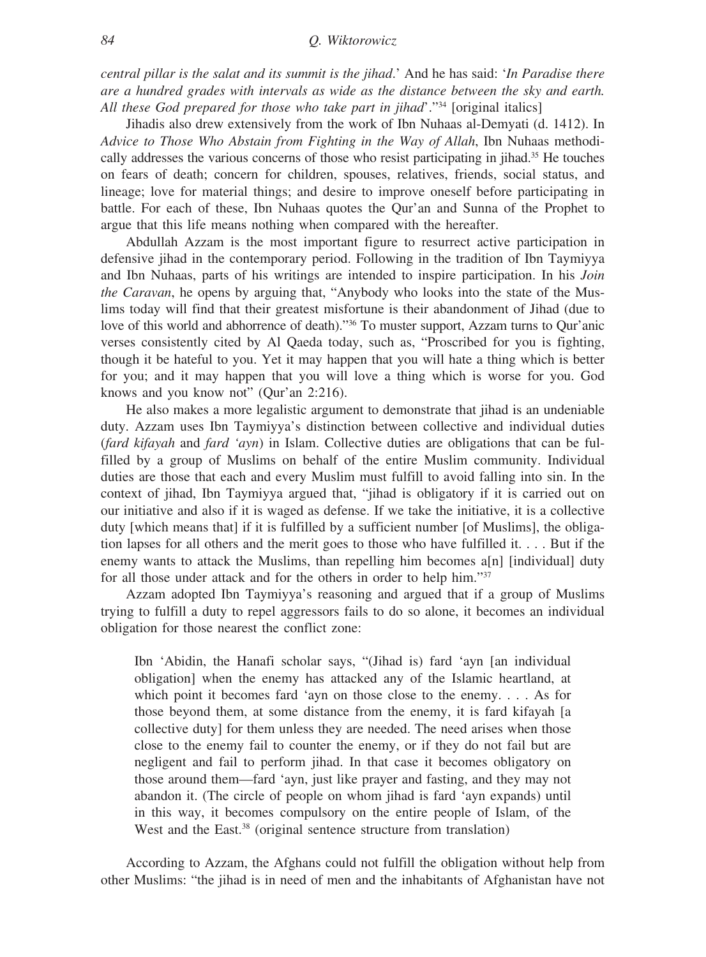#### *84 Q. Wiktorowicz*

*central pillar is the salat and its summit is the jihad*.' And he has said: '*In Paradise there are a hundred grades with intervals as wide as the distance between the sky and earth. All these God prepared for those who take part in jihad*'."34 [original italics]

Jihadis also drew extensively from the work of Ibn Nuhaas al-Demyati (d. 1412). In *Advice to Those Who Abstain from Fighting in the Way of Allah*, Ibn Nuhaas methodically addresses the various concerns of those who resist participating in jihad.<sup>35</sup> He touches on fears of death; concern for children, spouses, relatives, friends, social status, and lineage; love for material things; and desire to improve oneself before participating in battle. For each of these, Ibn Nuhaas quotes the Qur'an and Sunna of the Prophet to argue that this life means nothing when compared with the hereafter.

Abdullah Azzam is the most important figure to resurrect active participation in defensive jihad in the contemporary period. Following in the tradition of Ibn Taymiyya and Ibn Nuhaas, parts of his writings are intended to inspire participation. In his *Join the Caravan*, he opens by arguing that, "Anybody who looks into the state of the Muslims today will find that their greatest misfortune is their abandonment of Jihad (due to love of this world and abhorrence of death)."36 To muster support, Azzam turns to Qur'anic verses consistently cited by Al Qaeda today, such as, "Proscribed for you is fighting, though it be hateful to you. Yet it may happen that you will hate a thing which is better for you; and it may happen that you will love a thing which is worse for you. God knows and you know not" (Qur'an 2:216).

He also makes a more legalistic argument to demonstrate that jihad is an undeniable duty. Azzam uses Ibn Taymiyya's distinction between collective and individual duties (*fard kifayah* and *fard 'ayn*) in Islam. Collective duties are obligations that can be fulfilled by a group of Muslims on behalf of the entire Muslim community. Individual duties are those that each and every Muslim must fulfill to avoid falling into sin. In the context of jihad, Ibn Taymiyya argued that, "jihad is obligatory if it is carried out on our initiative and also if it is waged as defense. If we take the initiative, it is a collective duty [which means that] if it is fulfilled by a sufficient number [of Muslims], the obligation lapses for all others and the merit goes to those who have fulfilled it.  $\ldots$  But if the enemy wants to attack the Muslims, than repelling him becomes a[n] [individual] duty for all those under attack and for the others in order to help him."37

Azzam adopted Ibn Taymiyya's reasoning and argued that if a group of Muslims trying to fulfill a duty to repel aggressors fails to do so alone, it becomes an individual obligation for those nearest the conflict zone:

Ibn 'Abidin, the Hanafi scholar says, "(Jihad is) fard 'ayn [an individual obligation] when the enemy has attacked any of the Islamic heartland, at which point it becomes fard 'ayn on those close to the enemy. . . . As for those beyond them, at some distance from the enemy, it is fard kifayah [a collective duty] for them unless they are needed. The need arises when those close to the enemy fail to counter the enemy, or if they do not fail but are negligent and fail to perform jihad. In that case it becomes obligatory on those around them—fard 'ayn, just like prayer and fasting, and they may not abandon it. (The circle of people on whom jihad is fard 'ayn expands) until in this way, it becomes compulsory on the entire people of Islam, of the West and the East.<sup>38</sup> (original sentence structure from translation)

According to Azzam, the Afghans could not fulfill the obligation without help from other Muslims: "the jihad is in need of men and the inhabitants of Afghanistan have not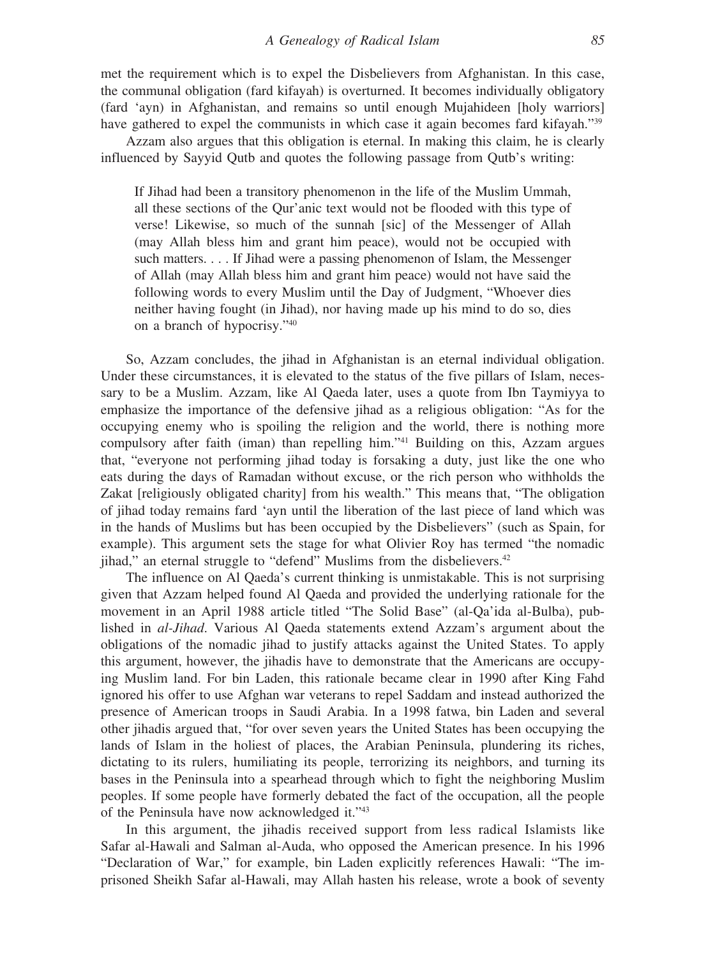met the requirement which is to expel the Disbelievers from Afghanistan. In this case, the communal obligation (fard kifayah) is overturned. It becomes individually obligatory (fard 'ayn) in Afghanistan, and remains so until enough Mujahideen [holy warriors] have gathered to expel the communists in which case it again becomes fard kifayah."<sup>39</sup>

Azzam also argues that this obligation is eternal. In making this claim, he is clearly influenced by Sayyid Qutb and quotes the following passage from Qutb's writing:

If Jihad had been a transitory phenomenon in the life of the Muslim Ummah, all these sections of the Qur'anic text would not be flooded with this type of verse! Likewise, so much of the sunnah [sic] of the Messenger of Allah (may Allah bless him and grant him peace), would not be occupied with such matters. . . . If Jihad were a passing phenomenon of Islam, the Messenger of Allah (may Allah bless him and grant him peace) would not have said the following words to every Muslim until the Day of Judgment, "Whoever dies neither having fought (in Jihad), nor having made up his mind to do so, dies on a branch of hypocrisy."40

So, Azzam concludes, the jihad in Afghanistan is an eternal individual obligation. Under these circumstances, it is elevated to the status of the five pillars of Islam, necessary to be a Muslim. Azzam, like Al Qaeda later, uses a quote from Ibn Taymiyya to emphasize the importance of the defensive jihad as a religious obligation: "As for the occupying enemy who is spoiling the religion and the world, there is nothing more compulsory after faith (iman) than repelling him."41 Building on this, Azzam argues that, "everyone not performing jihad today is forsaking a duty, just like the one who eats during the days of Ramadan without excuse, or the rich person who withholds the Zakat [religiously obligated charity] from his wealth." This means that, "The obligation of jihad today remains fard 'ayn until the liberation of the last piece of land which was in the hands of Muslims but has been occupied by the Disbelievers" (such as Spain, for example). This argument sets the stage for what Olivier Roy has termed "the nomadic jihad," an eternal struggle to "defend" Muslims from the disbelievers.<sup>42</sup>

The influence on Al Qaeda's current thinking is unmistakable. This is not surprising given that Azzam helped found Al Qaeda and provided the underlying rationale for the movement in an April 1988 article titled "The Solid Base" (al-Qa'ida al-Bulba), published in *al-Jihad*. Various Al Qaeda statements extend Azzam's argument about the obligations of the nomadic jihad to justify attacks against the United States. To apply this argument, however, the jihadis have to demonstrate that the Americans are occupying Muslim land. For bin Laden, this rationale became clear in 1990 after King Fahd ignored his offer to use Afghan war veterans to repel Saddam and instead authorized the presence of American troops in Saudi Arabia. In a 1998 fatwa, bin Laden and several other jihadis argued that, "for over seven years the United States has been occupying the lands of Islam in the holiest of places, the Arabian Peninsula, plundering its riches, dictating to its rulers, humiliating its people, terrorizing its neighbors, and turning its bases in the Peninsula into a spearhead through which to fight the neighboring Muslim peoples. If some people have formerly debated the fact of the occupation, all the people of the Peninsula have now acknowledged it."43

In this argument, the jihadis received support from less radical Islamists like Safar al-Hawali and Salman al-Auda, who opposed the American presence. In his 1996 "Declaration of War," for example, bin Laden explicitly references Hawali: "The imprisoned Sheikh Safar al-Hawali, may Allah hasten his release, wrote a book of seventy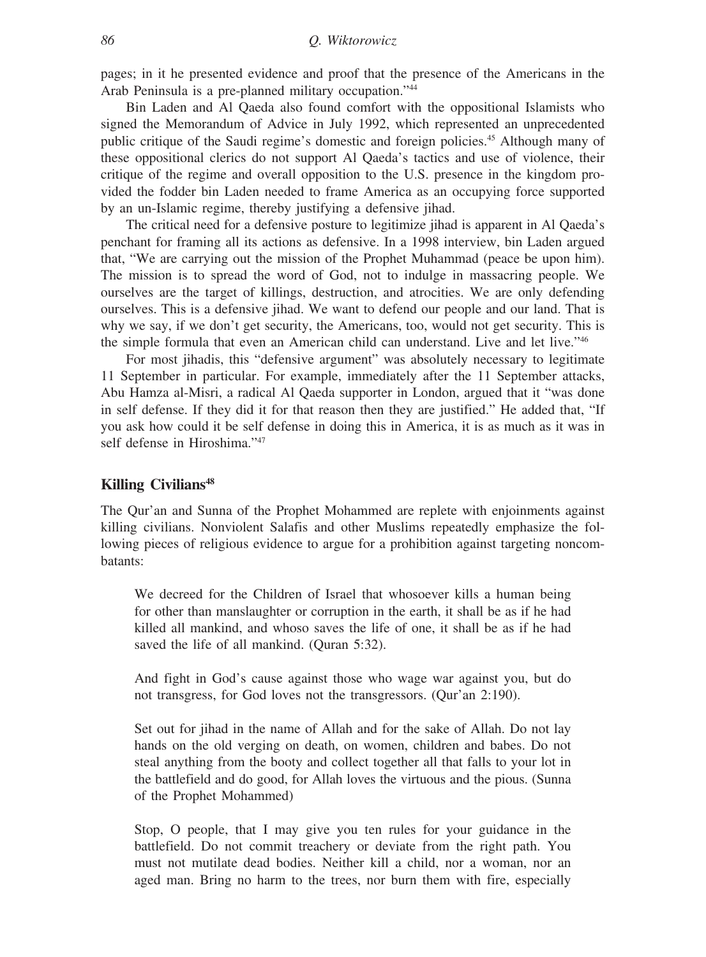pages; in it he presented evidence and proof that the presence of the Americans in the Arab Peninsula is a pre-planned military occupation."44

Bin Laden and Al Qaeda also found comfort with the oppositional Islamists who signed the Memorandum of Advice in July 1992, which represented an unprecedented public critique of the Saudi regime's domestic and foreign policies.45 Although many of these oppositional clerics do not support Al Qaeda's tactics and use of violence, their critique of the regime and overall opposition to the U.S. presence in the kingdom provided the fodder bin Laden needed to frame America as an occupying force supported by an un-Islamic regime, thereby justifying a defensive jihad.

The critical need for a defensive posture to legitimize jihad is apparent in Al Qaeda's penchant for framing all its actions as defensive. In a 1998 interview, bin Laden argued that, "We are carrying out the mission of the Prophet Muhammad (peace be upon him). The mission is to spread the word of God, not to indulge in massacring people. We ourselves are the target of killings, destruction, and atrocities. We are only defending ourselves. This is a defensive jihad. We want to defend our people and our land. That is why we say, if we don't get security, the Americans, too, would not get security. This is the simple formula that even an American child can understand. Live and let live."46

For most jihadis, this "defensive argument" was absolutely necessary to legitimate 11 September in particular. For example, immediately after the 11 September attacks, Abu Hamza al-Misri, a radical Al Qaeda supporter in London, argued that it "was done in self defense. If they did it for that reason then they are justified." He added that, "If you ask how could it be self defense in doing this in America, it is as much as it was in self defense in Hiroshima."47

## **Killing Civilians48**

The Qur'an and Sunna of the Prophet Mohammed are replete with enjoinments against killing civilians. Nonviolent Salafis and other Muslims repeatedly emphasize the following pieces of religious evidence to argue for a prohibition against targeting noncombatants:

We decreed for the Children of Israel that whosoever kills a human being for other than manslaughter or corruption in the earth, it shall be as if he had killed all mankind, and whoso saves the life of one, it shall be as if he had saved the life of all mankind. (Quran 5:32).

And fight in God's cause against those who wage war against you, but do not transgress, for God loves not the transgressors. (Qur'an 2:190).

Set out for jihad in the name of Allah and for the sake of Allah. Do not lay hands on the old verging on death, on women, children and babes. Do not steal anything from the booty and collect together all that falls to your lot in the battlefield and do good, for Allah loves the virtuous and the pious. (Sunna of the Prophet Mohammed)

Stop, O people, that I may give you ten rules for your guidance in the battlefield. Do not commit treachery or deviate from the right path. You must not mutilate dead bodies. Neither kill a child, nor a woman, nor an aged man. Bring no harm to the trees, nor burn them with fire, especially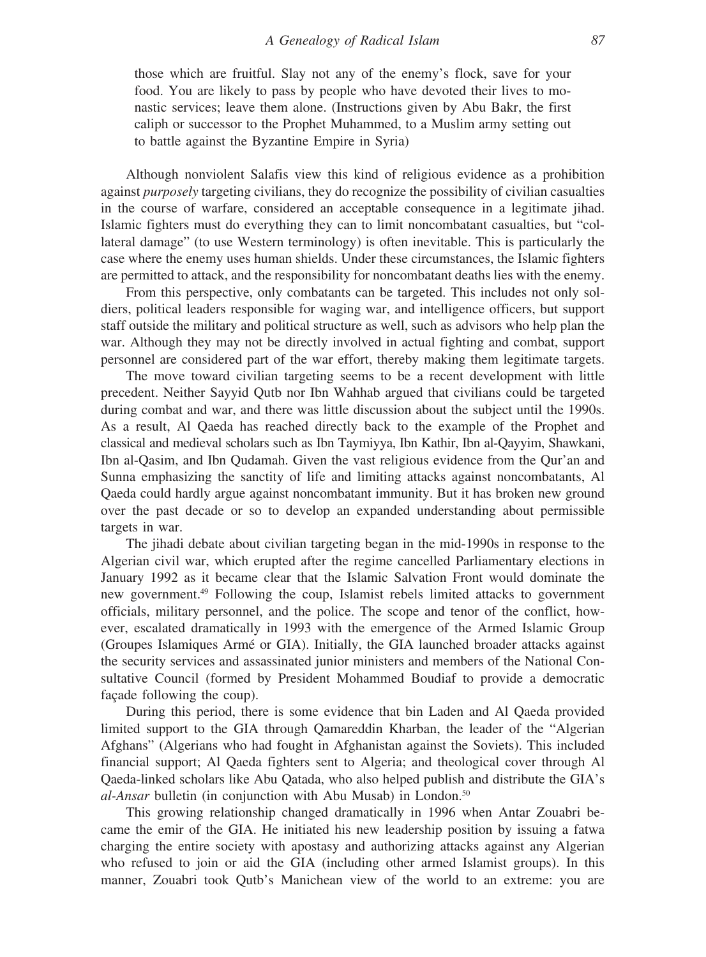those which are fruitful. Slay not any of the enemy's flock, save for your food. You are likely to pass by people who have devoted their lives to monastic services; leave them alone. (Instructions given by Abu Bakr, the first caliph or successor to the Prophet Muhammed, to a Muslim army setting out to battle against the Byzantine Empire in Syria)

Although nonviolent Salafis view this kind of religious evidence as a prohibition against *purposely* targeting civilians, they do recognize the possibility of civilian casualties in the course of warfare, considered an acceptable consequence in a legitimate jihad. Islamic fighters must do everything they can to limit noncombatant casualties, but "collateral damage" (to use Western terminology) is often inevitable. This is particularly the case where the enemy uses human shields. Under these circumstances, the Islamic fighters are permitted to attack, and the responsibility for noncombatant deaths lies with the enemy.

From this perspective, only combatants can be targeted. This includes not only soldiers, political leaders responsible for waging war, and intelligence officers, but support staff outside the military and political structure as well, such as advisors who help plan the war. Although they may not be directly involved in actual fighting and combat, support personnel are considered part of the war effort, thereby making them legitimate targets.

The move toward civilian targeting seems to be a recent development with little precedent. Neither Sayyid Qutb nor Ibn Wahhab argued that civilians could be targeted during combat and war, and there was little discussion about the subject until the 1990s. As a result, Al Qaeda has reached directly back to the example of the Prophet and classical and medieval scholars such as Ibn Taymiyya, Ibn Kathir, Ibn al-Qayyim, Shawkani, Ibn al-Qasim, and Ibn Qudamah. Given the vast religious evidence from the Qur'an and Sunna emphasizing the sanctity of life and limiting attacks against noncombatants, Al Qaeda could hardly argue against noncombatant immunity. But it has broken new ground over the past decade or so to develop an expanded understanding about permissible targets in war.

The jihadi debate about civilian targeting began in the mid-1990s in response to the Algerian civil war, which erupted after the regime cancelled Parliamentary elections in January 1992 as it became clear that the Islamic Salvation Front would dominate the new government.49 Following the coup, Islamist rebels limited attacks to government officials, military personnel, and the police. The scope and tenor of the conflict, however, escalated dramatically in 1993 with the emergence of the Armed Islamic Group (Groupes Islamiques Armé or GIA). Initially, the GIA launched broader attacks against the security services and assassinated junior ministers and members of the National Consultative Council (formed by President Mohammed Boudiaf to provide a democratic façade following the coup).

During this period, there is some evidence that bin Laden and Al Qaeda provided limited support to the GIA through Qamareddin Kharban, the leader of the "Algerian Afghans" (Algerians who had fought in Afghanistan against the Soviets). This included financial support; Al Qaeda fighters sent to Algeria; and theological cover through Al Qaeda-linked scholars like Abu Qatada, who also helped publish and distribute the GIA's *al-Ansar* bulletin (in conjunction with Abu Musab) in London.<sup>50</sup>

This growing relationship changed dramatically in 1996 when Antar Zouabri became the emir of the GIA. He initiated his new leadership position by issuing a fatwa charging the entire society with apostasy and authorizing attacks against any Algerian who refused to join or aid the GIA (including other armed Islamist groups). In this manner, Zouabri took Qutb's Manichean view of the world to an extreme: you are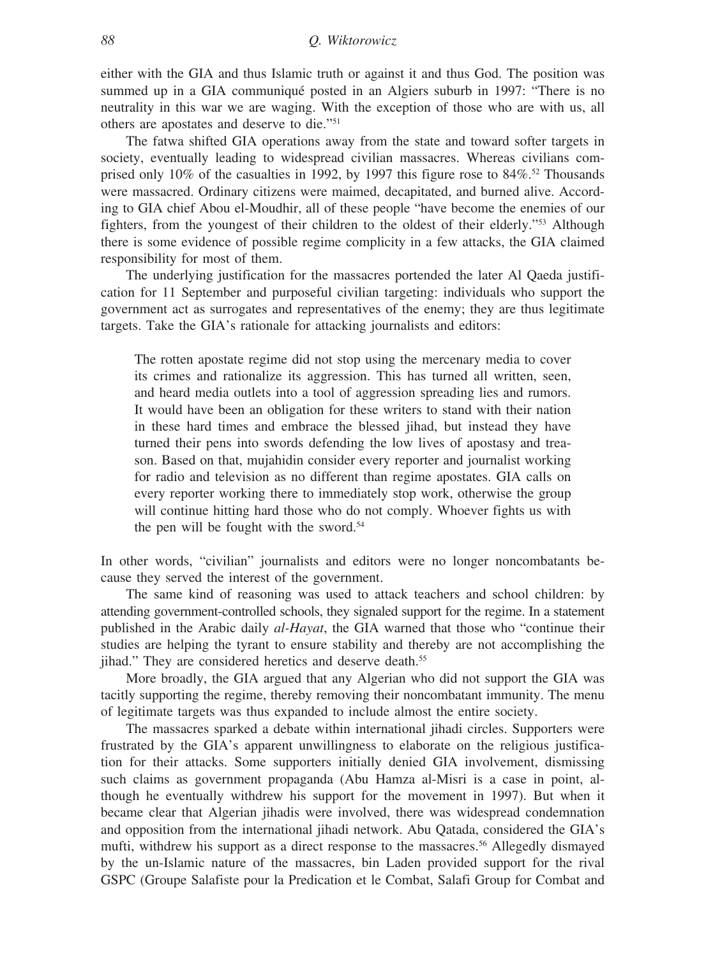either with the GIA and thus Islamic truth or against it and thus God. The position was summed up in a GIA communiqué posted in an Algiers suburb in 1997: "There is no neutrality in this war we are waging. With the exception of those who are with us, all others are apostates and deserve to die."51

The fatwa shifted GIA operations away from the state and toward softer targets in society, eventually leading to widespread civilian massacres. Whereas civilians comprised only 10% of the casualties in 1992, by 1997 this figure rose to  $84\%$ <sup>52</sup> Thousands were massacred. Ordinary citizens were maimed, decapitated, and burned alive. According to GIA chief Abou el-Moudhir, all of these people "have become the enemies of our fighters, from the youngest of their children to the oldest of their elderly."53 Although there is some evidence of possible regime complicity in a few attacks, the GIA claimed responsibility for most of them.

The underlying justification for the massacres portended the later Al Qaeda justification for 11 September and purposeful civilian targeting: individuals who support the government act as surrogates and representatives of the enemy; they are thus legitimate targets. Take the GIA's rationale for attacking journalists and editors:

The rotten apostate regime did not stop using the mercenary media to cover its crimes and rationalize its aggression. This has turned all written, seen, and heard media outlets into a tool of aggression spreading lies and rumors. It would have been an obligation for these writers to stand with their nation in these hard times and embrace the blessed jihad, but instead they have turned their pens into swords defending the low lives of apostasy and treason. Based on that, mujahidin consider every reporter and journalist working for radio and television as no different than regime apostates. GIA calls on every reporter working there to immediately stop work, otherwise the group will continue hitting hard those who do not comply. Whoever fights us with the pen will be fought with the sword.54

In other words, "civilian" journalists and editors were no longer noncombatants because they served the interest of the government.

The same kind of reasoning was used to attack teachers and school children: by attending government-controlled schools, they signaled support for the regime. In a statement published in the Arabic daily *al-Hayat*, the GIA warned that those who "continue their studies are helping the tyrant to ensure stability and thereby are not accomplishing the jihad." They are considered heretics and deserve death.<sup>55</sup>

More broadly, the GIA argued that any Algerian who did not support the GIA was tacitly supporting the regime, thereby removing their noncombatant immunity. The menu of legitimate targets was thus expanded to include almost the entire society.

The massacres sparked a debate within international jihadi circles. Supporters were frustrated by the GIA's apparent unwillingness to elaborate on the religious justification for their attacks. Some supporters initially denied GIA involvement, dismissing such claims as government propaganda (Abu Hamza al-Misri is a case in point, although he eventually withdrew his support for the movement in 1997). But when it became clear that Algerian jihadis were involved, there was widespread condemnation and opposition from the international jihadi network. Abu Qatada, considered the GIA's mufti, withdrew his support as a direct response to the massacres.<sup>56</sup> Allegedly dismayed by the un-Islamic nature of the massacres, bin Laden provided support for the rival GSPC (Groupe Salafiste pour la Predication et le Combat, Salafi Group for Combat and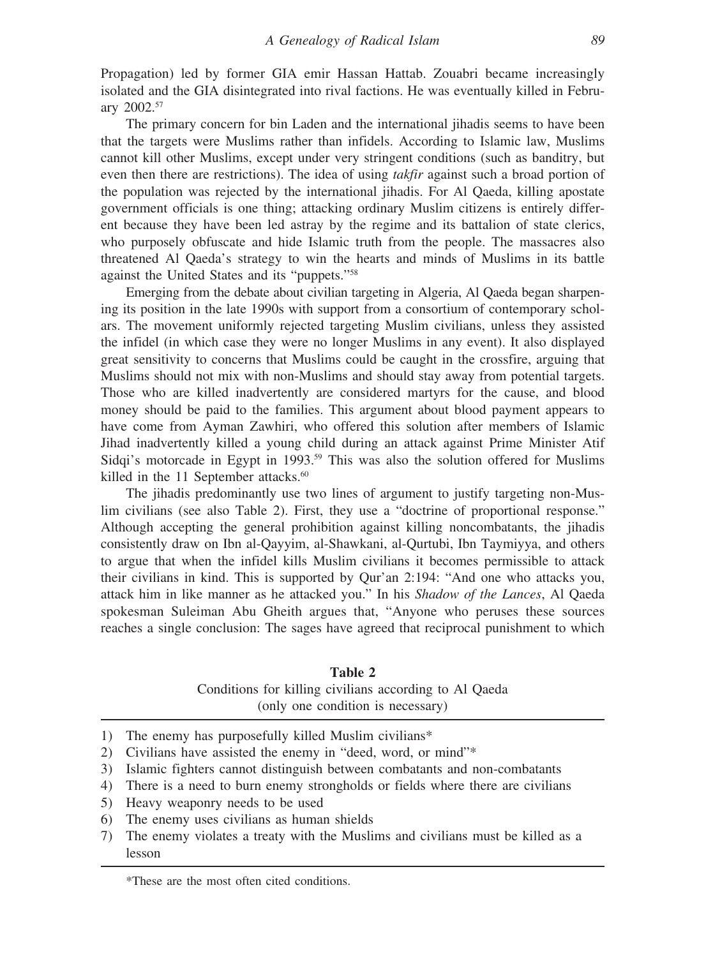Propagation) led by former GIA emir Hassan Hattab. Zouabri became increasingly isolated and the GIA disintegrated into rival factions. He was eventually killed in February 2002.57

The primary concern for bin Laden and the international jihadis seems to have been that the targets were Muslims rather than infidels. According to Islamic law, Muslims cannot kill other Muslims, except under very stringent conditions (such as banditry, but even then there are restrictions). The idea of using *takfir* against such a broad portion of the population was rejected by the international jihadis. For Al Qaeda, killing apostate government officials is one thing; attacking ordinary Muslim citizens is entirely different because they have been led astray by the regime and its battalion of state clerics, who purposely obfuscate and hide Islamic truth from the people. The massacres also threatened Al Qaeda's strategy to win the hearts and minds of Muslims in its battle against the United States and its "puppets."58

Emerging from the debate about civilian targeting in Algeria, Al Qaeda began sharpening its position in the late 1990s with support from a consortium of contemporary scholars. The movement uniformly rejected targeting Muslim civilians, unless they assisted the infidel (in which case they were no longer Muslims in any event). It also displayed great sensitivity to concerns that Muslims could be caught in the crossfire, arguing that Muslims should not mix with non-Muslims and should stay away from potential targets. Those who are killed inadvertently are considered martyrs for the cause, and blood money should be paid to the families. This argument about blood payment appears to have come from Ayman Zawhiri, who offered this solution after members of Islamic Jihad inadvertently killed a young child during an attack against Prime Minister Atif Sidqi's motorcade in Egypt in 1993.<sup>59</sup> This was also the solution offered for Muslims killed in the 11 September attacks.<sup>60</sup>

The jihadis predominantly use two lines of argument to justify targeting non-Muslim civilians (see also Table 2). First, they use a "doctrine of proportional response." Although accepting the general prohibition against killing noncombatants, the jihadis consistently draw on Ibn al-Qayyim, al-Shawkani, al-Qurtubi, Ibn Taymiyya, and others to argue that when the infidel kills Muslim civilians it becomes permissible to attack their civilians in kind. This is supported by Qur'an 2:194: "And one who attacks you, attack him in like manner as he attacked you." In his *Shadow of the Lances*, Al Qaeda spokesman Suleiman Abu Gheith argues that, "Anyone who peruses these sources reaches a single conclusion: The sages have agreed that reciprocal punishment to which

#### **Table 2**

Conditions for killing civilians according to Al Qaeda (only one condition is necessary)

- 1) The enemy has purposefully killed Muslim civilians\*
- 2) Civilians have assisted the enemy in "deed, word, or mind"\*
- 3) Islamic fighters cannot distinguish between combatants and non-combatants
- 4) There is a need to burn enemy strongholds or fields where there are civilians
- 5) Heavy weaponry needs to be used
- 6) The enemy uses civilians as human shields
- 7) The enemy violates a treaty with the Muslims and civilians must be killed as a lesson

#### \*These are the most often cited conditions.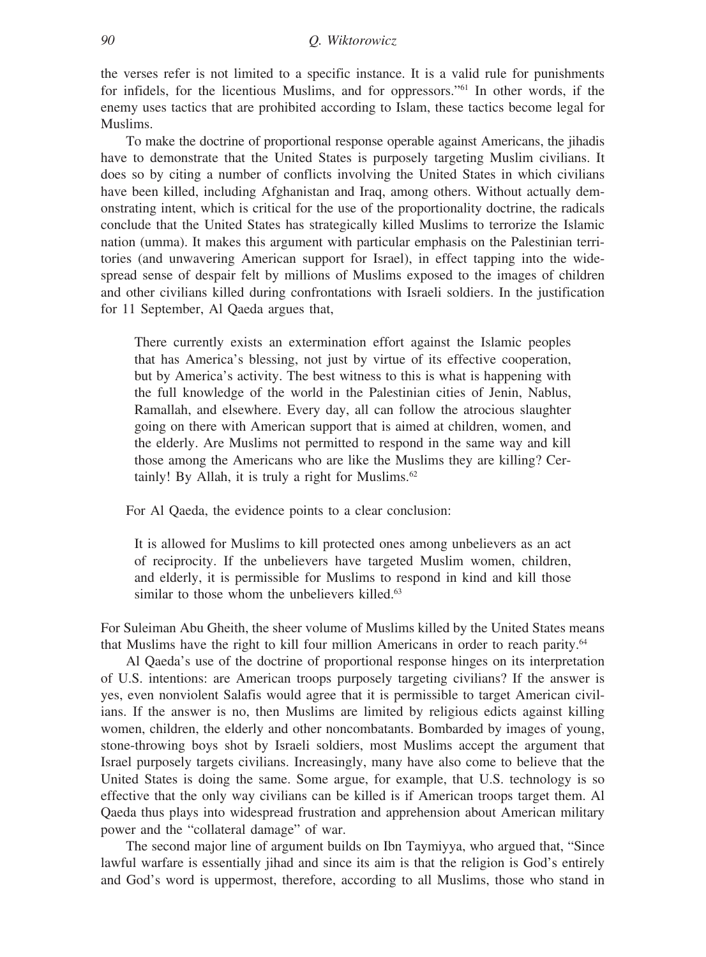#### *90 Q. Wiktorowicz*

the verses refer is not limited to a specific instance. It is a valid rule for punishments for infidels, for the licentious Muslims, and for oppressors."61 In other words, if the enemy uses tactics that are prohibited according to Islam, these tactics become legal for Muslims.

To make the doctrine of proportional response operable against Americans, the jihadis have to demonstrate that the United States is purposely targeting Muslim civilians. It does so by citing a number of conflicts involving the United States in which civilians have been killed, including Afghanistan and Iraq, among others. Without actually demonstrating intent, which is critical for the use of the proportionality doctrine, the radicals conclude that the United States has strategically killed Muslims to terrorize the Islamic nation (umma). It makes this argument with particular emphasis on the Palestinian territories (and unwavering American support for Israel), in effect tapping into the widespread sense of despair felt by millions of Muslims exposed to the images of children and other civilians killed during confrontations with Israeli soldiers. In the justification for 11 September, Al Qaeda argues that,

There currently exists an extermination effort against the Islamic peoples that has America's blessing, not just by virtue of its effective cooperation, but by America's activity. The best witness to this is what is happening with the full knowledge of the world in the Palestinian cities of Jenin, Nablus, Ramallah, and elsewhere. Every day, all can follow the atrocious slaughter going on there with American support that is aimed at children, women, and the elderly. Are Muslims not permitted to respond in the same way and kill those among the Americans who are like the Muslims they are killing? Certainly! By Allah, it is truly a right for Muslims. $62$ 

For Al Qaeda, the evidence points to a clear conclusion:

It is allowed for Muslims to kill protected ones among unbelievers as an act of reciprocity. If the unbelievers have targeted Muslim women, children, and elderly, it is permissible for Muslims to respond in kind and kill those similar to those whom the unbelievers killed.<sup>63</sup>

For Suleiman Abu Gheith, the sheer volume of Muslims killed by the United States means that Muslims have the right to kill four million Americans in order to reach parity.<sup>64</sup>

Al Qaeda's use of the doctrine of proportional response hinges on its interpretation of U.S. intentions: are American troops purposely targeting civilians? If the answer is yes, even nonviolent Salafis would agree that it is permissible to target American civilians. If the answer is no, then Muslims are limited by religious edicts against killing women, children, the elderly and other noncombatants. Bombarded by images of young, stone-throwing boys shot by Israeli soldiers, most Muslims accept the argument that Israel purposely targets civilians. Increasingly, many have also come to believe that the United States is doing the same. Some argue, for example, that U.S. technology is so effective that the only way civilians can be killed is if American troops target them. Al Qaeda thus plays into widespread frustration and apprehension about American military power and the "collateral damage" of war.

The second major line of argument builds on Ibn Taymiyya, who argued that, "Since lawful warfare is essentially jihad and since its aim is that the religion is God's entirely and God's word is uppermost, therefore, according to all Muslims, those who stand in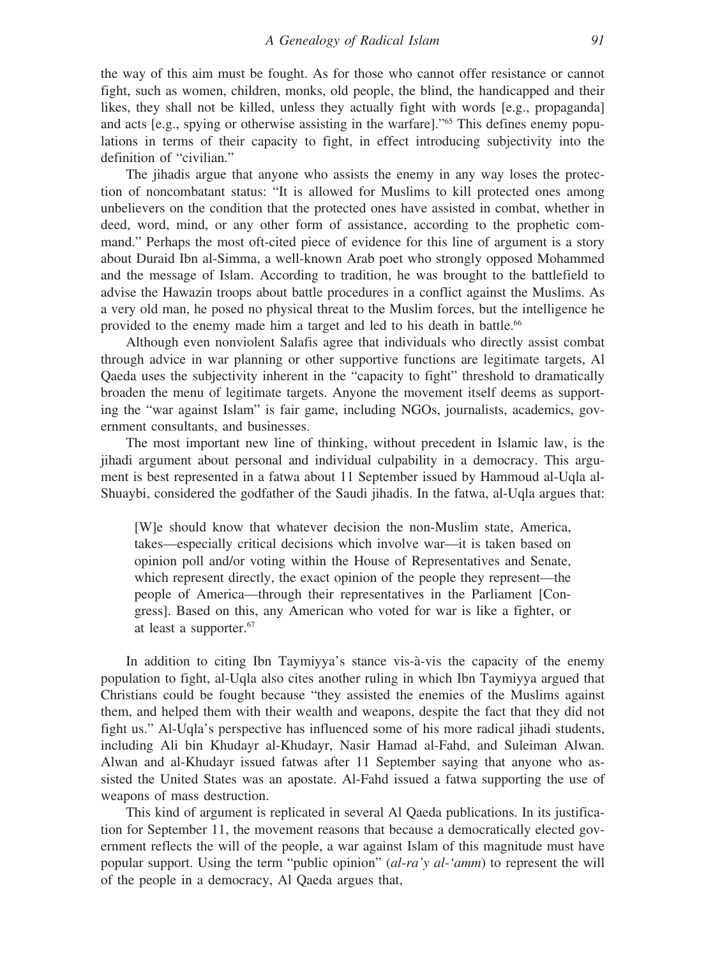the way of this aim must be fought. As for those who cannot offer resistance or cannot fight, such as women, children, monks, old people, the blind, the handicapped and their likes, they shall not be killed, unless they actually fight with words [e.g., propaganda] and acts [e.g., spying or otherwise assisting in the warfare]."65 This defines enemy populations in terms of their capacity to fight, in effect introducing subjectivity into the definition of "civilian."

The jihadis argue that anyone who assists the enemy in any way loses the protection of noncombatant status: "It is allowed for Muslims to kill protected ones among unbelievers on the condition that the protected ones have assisted in combat, whether in deed, word, mind, or any other form of assistance, according to the prophetic command." Perhaps the most oft-cited piece of evidence for this line of argument is a story about Duraid Ibn al-Simma, a well-known Arab poet who strongly opposed Mohammed and the message of Islam. According to tradition, he was brought to the battlefield to advise the Hawazin troops about battle procedures in a conflict against the Muslims. As a very old man, he posed no physical threat to the Muslim forces, but the intelligence he provided to the enemy made him a target and led to his death in battle.<sup>66</sup>

Although even nonviolent Salafis agree that individuals who directly assist combat through advice in war planning or other supportive functions are legitimate targets, Al Qaeda uses the subjectivity inherent in the "capacity to fight" threshold to dramatically broaden the menu of legitimate targets. Anyone the movement itself deems as supporting the "war against Islam" is fair game, including NGOs, journalists, academics, government consultants, and businesses.

The most important new line of thinking, without precedent in Islamic law, is the jihadi argument about personal and individual culpability in a democracy. This argument is best represented in a fatwa about 11 September issued by Hammoud al-Uqla al-Shuaybi, considered the godfather of the Saudi jihadis. In the fatwa, al-Uqla argues that:

[W]e should know that whatever decision the non-Muslim state, America, takes—especially critical decisions which involve war—it is taken based on opinion poll and/or voting within the House of Representatives and Senate, which represent directly, the exact opinion of the people they represent—the people of America—through their representatives in the Parliament [Congress]. Based on this, any American who voted for war is like a fighter, or at least a supporter.67

In addition to citing Ibn Taymiyya's stance vis-à-vis the capacity of the enemy population to fight, al-Uqla also cites another ruling in which Ibn Taymiyya argued that Christians could be fought because "they assisted the enemies of the Muslims against them, and helped them with their wealth and weapons, despite the fact that they did not fight us." Al-Uqla's perspective has influenced some of his more radical jihadi students, including Ali bin Khudayr al-Khudayr, Nasir Hamad al-Fahd, and Suleiman Alwan. Alwan and al-Khudayr issued fatwas after 11 September saying that anyone who assisted the United States was an apostate. Al-Fahd issued a fatwa supporting the use of weapons of mass destruction.

This kind of argument is replicated in several Al Qaeda publications. In its justification for September 11, the movement reasons that because a democratically elected government reflects the will of the people, a war against Islam of this magnitude must have popular support. Using the term "public opinion" (*al-ra'y al-'amm*) to represent the will of the people in a democracy, Al Qaeda argues that,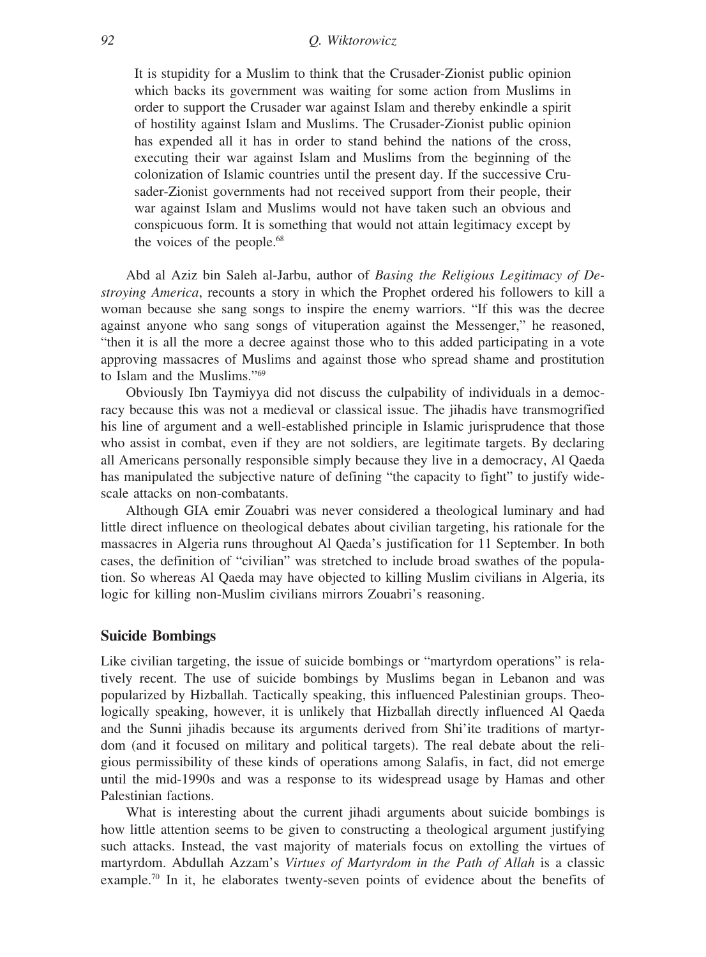## *92 Q. Wiktorowicz*

It is stupidity for a Muslim to think that the Crusader-Zionist public opinion which backs its government was waiting for some action from Muslims in order to support the Crusader war against Islam and thereby enkindle a spirit of hostility against Islam and Muslims. The Crusader-Zionist public opinion has expended all it has in order to stand behind the nations of the cross, executing their war against Islam and Muslims from the beginning of the colonization of Islamic countries until the present day. If the successive Crusader-Zionist governments had not received support from their people, their war against Islam and Muslims would not have taken such an obvious and conspicuous form. It is something that would not attain legitimacy except by the voices of the people.<sup>68</sup>

Abd al Aziz bin Saleh al-Jarbu, author of *Basing the Religious Legitimacy of Destroying America*, recounts a story in which the Prophet ordered his followers to kill a woman because she sang songs to inspire the enemy warriors. "If this was the decree against anyone who sang songs of vituperation against the Messenger," he reasoned, "then it is all the more a decree against those who to this added participating in a vote approving massacres of Muslims and against those who spread shame and prostitution to Islam and the Muslims."69

Obviously Ibn Taymiyya did not discuss the culpability of individuals in a democracy because this was not a medieval or classical issue. The jihadis have transmogrified his line of argument and a well-established principle in Islamic jurisprudence that those who assist in combat, even if they are not soldiers, are legitimate targets. By declaring all Americans personally responsible simply because they live in a democracy, Al Qaeda has manipulated the subjective nature of defining "the capacity to fight" to justify widescale attacks on non-combatants.

Although GIA emir Zouabri was never considered a theological luminary and had little direct influence on theological debates about civilian targeting, his rationale for the massacres in Algeria runs throughout Al Qaeda's justification for 11 September. In both cases, the definition of "civilian" was stretched to include broad swathes of the population. So whereas Al Qaeda may have objected to killing Muslim civilians in Algeria, its logic for killing non-Muslim civilians mirrors Zouabri's reasoning.

#### **Suicide Bombings**

Like civilian targeting, the issue of suicide bombings or "martyrdom operations" is relatively recent. The use of suicide bombings by Muslims began in Lebanon and was popularized by Hizballah. Tactically speaking, this influenced Palestinian groups. Theologically speaking, however, it is unlikely that Hizballah directly influenced Al Qaeda and the Sunni jihadis because its arguments derived from Shi'ite traditions of martyrdom (and it focused on military and political targets). The real debate about the religious permissibility of these kinds of operations among Salafis, in fact, did not emerge until the mid-1990s and was a response to its widespread usage by Hamas and other Palestinian factions.

What is interesting about the current jihadi arguments about suicide bombings is how little attention seems to be given to constructing a theological argument justifying such attacks. Instead, the vast majority of materials focus on extolling the virtues of martyrdom. Abdullah Azzam's *Virtues of Martyrdom in the Path of Allah* is a classic example.<sup>70</sup> In it, he elaborates twenty-seven points of evidence about the benefits of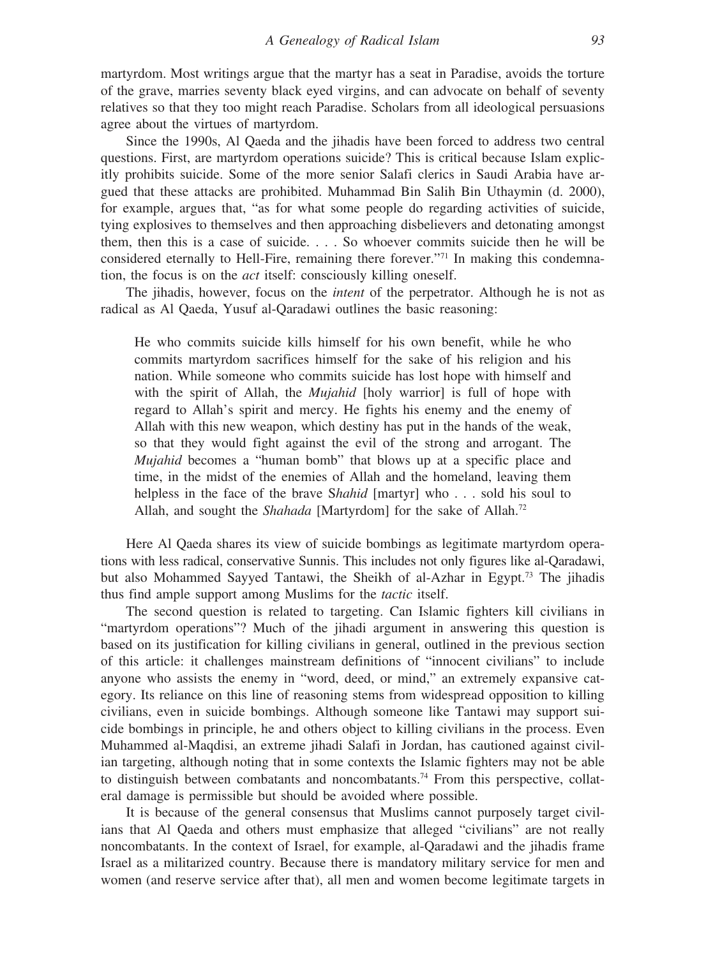martyrdom. Most writings argue that the martyr has a seat in Paradise, avoids the torture of the grave, marries seventy black eyed virgins, and can advocate on behalf of seventy relatives so that they too might reach Paradise. Scholars from all ideological persuasions agree about the virtues of martyrdom.

Since the 1990s, Al Qaeda and the jihadis have been forced to address two central questions. First, are martyrdom operations suicide? This is critical because Islam explicitly prohibits suicide. Some of the more senior Salafi clerics in Saudi Arabia have argued that these attacks are prohibited. Muhammad Bin Salih Bin Uthaymin (d. 2000), for example, argues that, "as for what some people do regarding activities of suicide, tying explosives to themselves and then approaching disbelievers and detonating amongst them, then this is a case of suicide. . . . So whoever commits suicide then he will be considered eternally to Hell-Fire, remaining there forever."71 In making this condemnation, the focus is on the *act* itself: consciously killing oneself.

The jihadis, however, focus on the *intent* of the perpetrator. Although he is not as radical as Al Qaeda, Yusuf al-Qaradawi outlines the basic reasoning:

He who commits suicide kills himself for his own benefit, while he who commits martyrdom sacrifices himself for the sake of his religion and his nation. While someone who commits suicide has lost hope with himself and with the spirit of Allah, the *Mujahid* [holy warrior] is full of hope with regard to Allah's spirit and mercy. He fights his enemy and the enemy of Allah with this new weapon, which destiny has put in the hands of the weak, so that they would fight against the evil of the strong and arrogant. The *Mujahid* becomes a "human bomb" that blows up at a specific place and time, in the midst of the enemies of Allah and the homeland, leaving them helpless in the face of the brave S*hahid* [martyr] who . . . sold his soul to Allah, and sought the *Shahada* [Martyrdom] for the sake of Allah.<sup>72</sup>

Here Al Qaeda shares its view of suicide bombings as legitimate martyrdom operations with less radical, conservative Sunnis. This includes not only figures like al-Qaradawi, but also Mohammed Sayyed Tantawi, the Sheikh of al-Azhar in Egypt.<sup>73</sup> The jihadis thus find ample support among Muslims for the *tactic* itself.

The second question is related to targeting. Can Islamic fighters kill civilians in "martyrdom operations"? Much of the jihadi argument in answering this question is based on its justification for killing civilians in general, outlined in the previous section of this article: it challenges mainstream definitions of "innocent civilians" to include anyone who assists the enemy in "word, deed, or mind," an extremely expansive category. Its reliance on this line of reasoning stems from widespread opposition to killing civilians, even in suicide bombings. Although someone like Tantawi may support suicide bombings in principle, he and others object to killing civilians in the process. Even Muhammed al-Maqdisi, an extreme jihadi Salafi in Jordan, has cautioned against civilian targeting, although noting that in some contexts the Islamic fighters may not be able to distinguish between combatants and noncombatants.74 From this perspective, collateral damage is permissible but should be avoided where possible.

It is because of the general consensus that Muslims cannot purposely target civilians that Al Qaeda and others must emphasize that alleged "civilians" are not really noncombatants. In the context of Israel, for example, al-Qaradawi and the jihadis frame Israel as a militarized country. Because there is mandatory military service for men and women (and reserve service after that), all men and women become legitimate targets in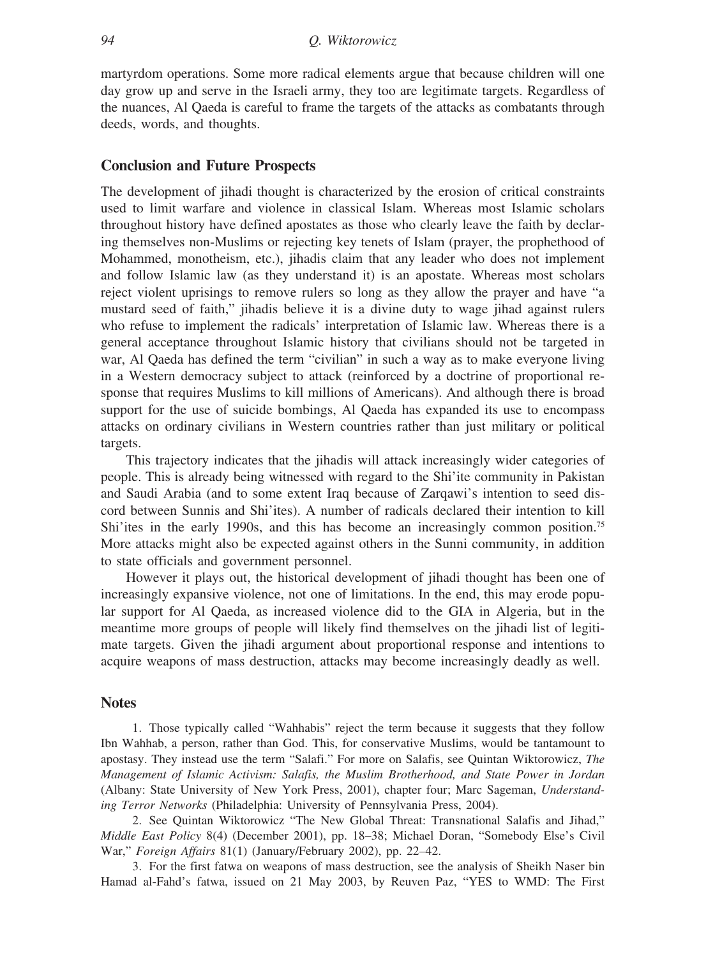martyrdom operations. Some more radical elements argue that because children will one day grow up and serve in the Israeli army, they too are legitimate targets. Regardless of the nuances, Al Qaeda is careful to frame the targets of the attacks as combatants through deeds, words, and thoughts.

## **Conclusion and Future Prospects**

The development of jihadi thought is characterized by the erosion of critical constraints used to limit warfare and violence in classical Islam. Whereas most Islamic scholars throughout history have defined apostates as those who clearly leave the faith by declaring themselves non-Muslims or rejecting key tenets of Islam (prayer, the prophethood of Mohammed, monotheism, etc.), jihadis claim that any leader who does not implement and follow Islamic law (as they understand it) is an apostate. Whereas most scholars reject violent uprisings to remove rulers so long as they allow the prayer and have "a mustard seed of faith," jihadis believe it is a divine duty to wage jihad against rulers who refuse to implement the radicals' interpretation of Islamic law. Whereas there is a general acceptance throughout Islamic history that civilians should not be targeted in war, Al Qaeda has defined the term "civilian" in such a way as to make everyone living in a Western democracy subject to attack (reinforced by a doctrine of proportional response that requires Muslims to kill millions of Americans). And although there is broad support for the use of suicide bombings, Al Qaeda has expanded its use to encompass attacks on ordinary civilians in Western countries rather than just military or political targets.

This trajectory indicates that the jihadis will attack increasingly wider categories of people. This is already being witnessed with regard to the Shi'ite community in Pakistan and Saudi Arabia (and to some extent Iraq because of Zarqawi's intention to seed discord between Sunnis and Shi'ites). A number of radicals declared their intention to kill Shi'ites in the early 1990s, and this has become an increasingly common position.<sup>75</sup> More attacks might also be expected against others in the Sunni community, in addition to state officials and government personnel.

However it plays out, the historical development of jihadi thought has been one of increasingly expansive violence, not one of limitations. In the end, this may erode popular support for Al Qaeda, as increased violence did to the GIA in Algeria, but in the meantime more groups of people will likely find themselves on the jihadi list of legitimate targets. Given the jihadi argument about proportional response and intentions to acquire weapons of mass destruction, attacks may become increasingly deadly as well.

#### **Notes**

1. Those typically called "Wahhabis" reject the term because it suggests that they follow Ibn Wahhab, a person, rather than God. This, for conservative Muslims, would be tantamount to apostasy. They instead use the term "Salafi." For more on Salafis, see Quintan Wiktorowicz, *The Management of Islamic Activism: Salafis, the Muslim Brotherhood, and State Power in Jordan* (Albany: State University of New York Press, 2001), chapter four; Marc Sageman, *Understanding Terror Networks* (Philadelphia: University of Pennsylvania Press, 2004).

2. See Quintan Wiktorowicz "The New Global Threat: Transnational Salafis and Jihad," *Middle East Policy* 8(4) (December 2001), pp. 18–38; Michael Doran, "Somebody Else's Civil War," *Foreign Affairs* 81(1) (January/February 2002), pp. 22–42.

3. For the first fatwa on weapons of mass destruction, see the analysis of Sheikh Naser bin Hamad al-Fahd's fatwa, issued on 21 May 2003, by Reuven Paz, "YES to WMD: The First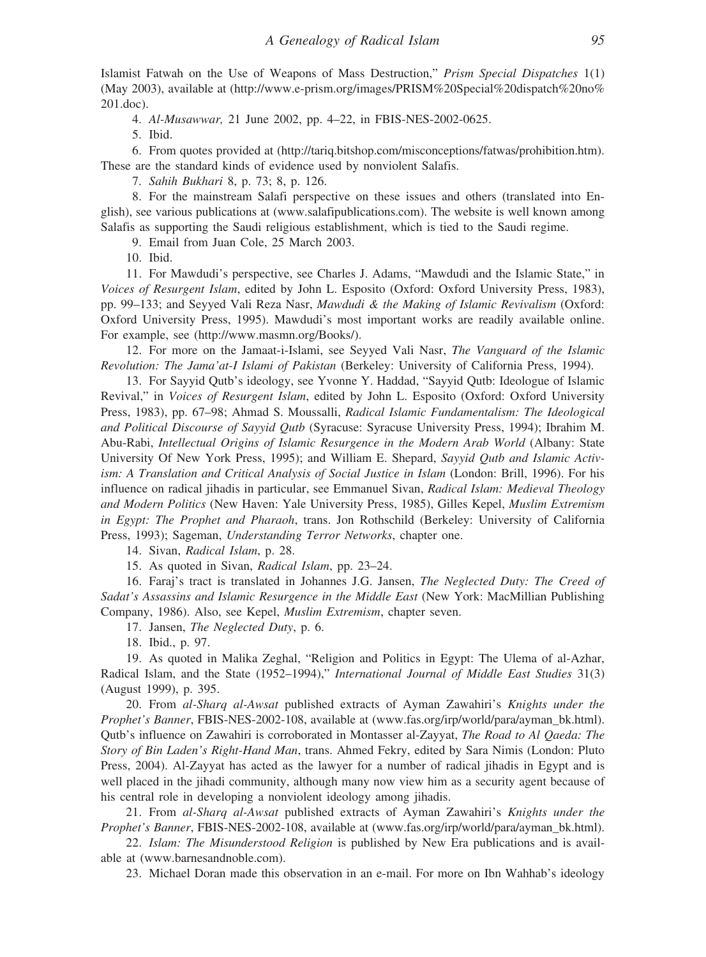Islamist Fatwah on the Use of Weapons of Mass Destruction," *Prism Special Dispatches* 1(1) (May 2003), available at (http://www.e-prism.org/images/PRISM%20Special%20dispatch%20no% 201.doc).

4. *Al-Musawwar,* 21 June 2002, pp. 4–22, in FBIS-NES-2002-0625.

5. Ibid.

6. From quotes provided at (http://tariq.bitshop.com/misconceptions/fatwas/prohibition.htm). These are the standard kinds of evidence used by nonviolent Salafis.

7. *Sahih Bukhari* 8, p. 73; 8, p. 126.

8. For the mainstream Salafi perspective on these issues and others (translated into English), see various publications at (www.salafipublications.com). The website is well known among Salafis as supporting the Saudi religious establishment, which is tied to the Saudi regime.

9. Email from Juan Cole, 25 March 2003.

10. Ibid.

11. For Mawdudi's perspective, see Charles J. Adams, "Mawdudi and the Islamic State," in *Voices of Resurgent Islam*, edited by John L. Esposito (Oxford: Oxford University Press, 1983), pp. 99–133; and Seyyed Vali Reza Nasr, *Mawdudi & the Making of Islamic Revivalism* (Oxford: Oxford University Press, 1995). Mawdudi's most important works are readily available online. For example, see (http://www.masmn.org/Books/).

12. For more on the Jamaat-i-Islami, see Seyyed Vali Nasr, *The Vanguard of the Islamic Revolution: The Jama'at-I Islami of Pakistan* (Berkeley: University of California Press, 1994).

13. For Sayyid Qutb's ideology, see Yvonne Y. Haddad, "Sayyid Qutb: Ideologue of Islamic Revival," in *Voices of Resurgent Islam*, edited by John L. Esposito (Oxford: Oxford University Press, 1983), pp. 67–98; Ahmad S. Moussalli, *Radical Islamic Fundamentalism: The Ideological and Political Discourse of Sayyid Qutb* (Syracuse: Syracuse University Press, 1994); Ibrahim M. Abu-Rabi, *Intellectual Origins of Islamic Resurgence in the Modern Arab World* (Albany: State University Of New York Press, 1995); and William E. Shepard, *Sayyid Qutb and Islamic Activism: A Translation and Critical Analysis of Social Justice in Islam* (London: Brill, 1996). For his influence on radical jihadis in particular, see Emmanuel Sivan, *Radical Islam: Medieval Theology and Modern Politics* (New Haven: Yale University Press, 1985), Gilles Kepel, *Muslim Extremism in Egypt: The Prophet and Pharaoh*, trans. Jon Rothschild (Berkeley: University of California Press, 1993); Sageman, *Understanding Terror Networks*, chapter one.

14. Sivan, *Radical Islam*, p. 28.

15. As quoted in Sivan, *Radical Islam*, pp. 23–24.

16. Faraj's tract is translated in Johannes J.G. Jansen, *The Neglected Duty: The Creed of* Sadat's Assassins and Islamic Resurgence in the Middle East (New York: MacMillian Publishing Company, 1986). Also, see Kepel, *Muslim Extremism*, chapter seven.

17. Jansen, *The Neglected Duty*, p. 6.

18. Ibid., p. 97.

19. As quoted in Malika Zeghal, "Religion and Politics in Egypt: The Ulema of al-Azhar, Radical Islam, and the State (1952–1994)," *International Journal of Middle East Studies* 31(3) (August 1999), p. 395.

20. From *al-Sharq al-Awsat* published extracts of Ayman Zawahiri's *Knights under the Prophet's Banner*, FBIS-NES-2002-108, available at (www.fas.org/irp/world/para/ayman\_bk.html). Qutb's influence on Zawahiri is corroborated in Montasser al-Zayyat, *The Road to Al Qaeda: The Story of Bin Laden's Right-Hand Man*, trans. Ahmed Fekry, edited by Sara Nimis (London: Pluto Press, 2004). Al-Zayyat has acted as the lawyer for a number of radical jihadis in Egypt and is well placed in the jihadi community, although many now view him as a security agent because of his central role in developing a nonviolent ideology among jihadis.

21. From *al-Sharq al-Awsat* published extracts of Ayman Zawahiri's *Knights under the Prophet's Banner*, FBIS-NES-2002-108, available at (www.fas.org/irp/world/para/ayman\_bk.html).

22. *Islam: The Misunderstood Religion* is published by New Era publications and is available at (www.barnesandnoble.com).

23. Michael Doran made this observation in an e-mail. For more on Ibn Wahhab's ideology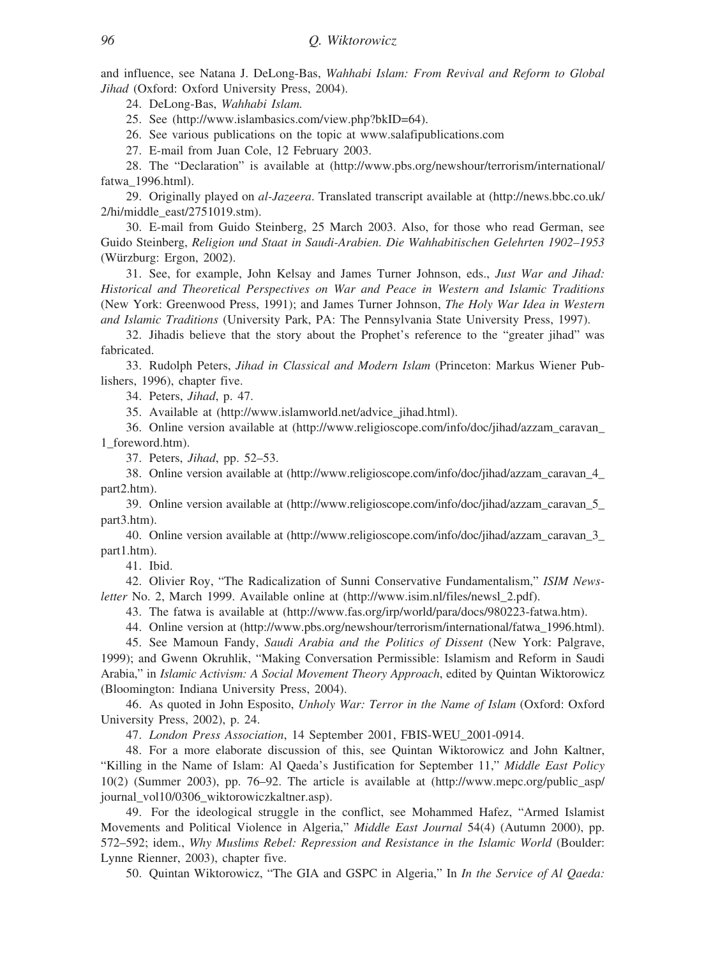and influence, see Natana J. DeLong-Bas, *Wahhabi Islam: From Revival and Reform to Global Jihad* (Oxford: Oxford University Press, 2004).

24. DeLong-Bas, *Wahhabi Islam.*

25. See (http://www.islambasics.com/view.php?bkID=64).

26. See various publications on the topic at www.salafipublications.com

27. E-mail from Juan Cole, 12 February 2003.

28. The "Declaration" is available at (http://www.pbs.org/newshour/terrorism/international/ fatwa 1996.html).

29. Originally played on *al-Jazeera*. Translated transcript available at (http://news.bbc.co.uk/ 2/hi/middle\_east/2751019.stm).

30. E-mail from Guido Steinberg, 25 March 2003. Also, for those who read German, see Guido Steinberg, *Religion und Staat in Saudi-Arabien. Die Wahhabitischen Gelehrten 1902–1953* (Würzburg: Ergon, 2002).

31. See, for example, John Kelsay and James Turner Johnson, eds., *Just War and Jihad: Historical and Theoretical Perspectives on War and Peace in Western and Islamic Traditions* (New York: Greenwood Press, 1991); and James Turner Johnson, *The Holy War Idea in Western and Islamic Traditions* (University Park, PA: The Pennsylvania State University Press, 1997).

32. Jihadis believe that the story about the Prophet's reference to the "greater jihad" was fabricated.

33. Rudolph Peters, *Jihad in Classical and Modern Islam* (Princeton: Markus Wiener Publishers, 1996), chapter five.

34. Peters, *Jihad*, p. 47.

35. Available at (http://www.islamworld.net/advice\_jihad.html).

36. Online version available at (http://www.religioscope.com/info/doc/jihad/azzam\_caravan\_ 1\_foreword.htm).

37. Peters, *Jihad*, pp. 52–53.

38. Online version available at (http://www.religioscope.com/info/doc/jihad/azzam\_caravan\_4\_ part2.htm).

39. Online version available at (http://www.religioscope.com/info/doc/jihad/azzam\_caravan\_5\_ part3.htm).

40. Online version available at (http://www.religioscope.com/info/doc/jihad/azzam\_caravan\_3\_ part1.htm).

41. Ibid.

42. Olivier Roy, "The Radicalization of Sunni Conservative Fundamentalism," *ISIM Newsletter* No. 2, March 1999. Available online at (http://www.isim.nl/files/newsl 2.pdf).

43. The fatwa is available at (http://www.fas.org/irp/world/para/docs/980223-fatwa.htm).

44. Online version at (http://www.pbs.org/newshour/terrorism/international/fatwa\_1996.html).

45. See Mamoun Fandy, *Saudi Arabia and the Politics of Dissent* (New York: Palgrave, 1999); and Gwenn Okruhlik, "Making Conversation Permissible: Islamism and Reform in Saudi Arabia," in *Islamic Activism: A Social Movement Theory Approach*, edited by Quintan Wiktorowicz (Bloomington: Indiana University Press, 2004).

46. As quoted in John Esposito, *Unholy War: Terror in the Name of Islam* (Oxford: Oxford University Press, 2002), p. 24.

47. *London Press Association*, 14 September 2001, FBIS-WEU\_2001-0914.

48. For a more elaborate discussion of this, see Quintan Wiktorowicz and John Kaltner, "Killing in the Name of Islam: Al Qaeda's Justification for September 11," *Middle East Policy* 10(2) (Summer 2003), pp. 76–92. The article is available at (http://www.mepc.org/public\_asp/ journal\_vol10/0306\_wiktorowiczkaltner.asp).

49. For the ideological struggle in the conflict, see Mohammed Hafez, "Armed Islamist Movements and Political Violence in Algeria," *Middle East Journal* 54(4) (Autumn 2000), pp. 572–592; idem., *Why Muslims Rebel: Repression and Resistance in the Islamic World* (Boulder: Lynne Rienner, 2003), chapter five.

50. Quintan Wiktorowicz, "The GIA and GSPC in Algeria," In *In the Service of Al Qaeda:*